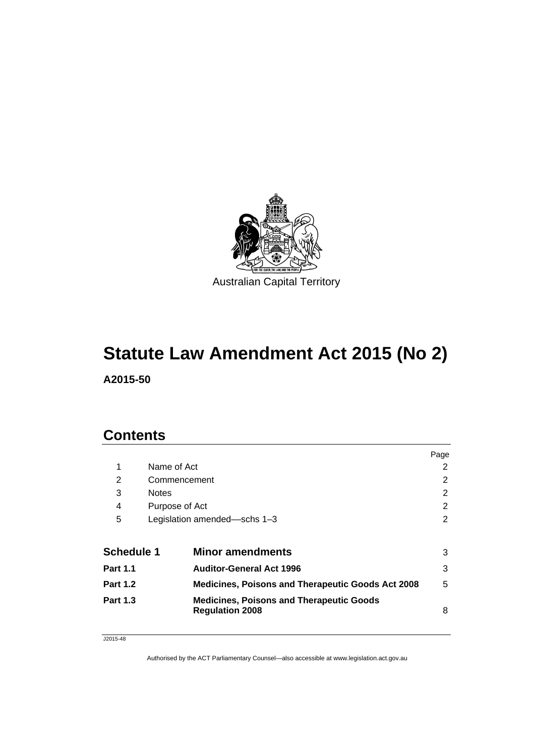

# **Statute Law Amendment Act 2015 (No 2)**

**A2015-50** 

# **Contents**

|                   |                |                                                                           | Page |
|-------------------|----------------|---------------------------------------------------------------------------|------|
| 1                 | Name of Act    |                                                                           | 2    |
| 2                 |                | Commencement                                                              | 2    |
| 3                 | <b>Notes</b>   |                                                                           | 2    |
| 4                 | Purpose of Act |                                                                           | 2    |
| 5                 |                | Legislation amended—schs 1-3                                              | 2    |
| <b>Schedule 1</b> |                | <b>Minor amendments</b>                                                   | 3    |
| <b>Part 1.1</b>   |                | <b>Auditor-General Act 1996</b>                                           | 3    |
| <b>Part 1.2</b>   |                | <b>Medicines, Poisons and Therapeutic Goods Act 2008</b>                  | 5    |
| <b>Part 1.3</b>   |                | <b>Medicines, Poisons and Therapeutic Goods</b><br><b>Regulation 2008</b> | 8    |

J2015-48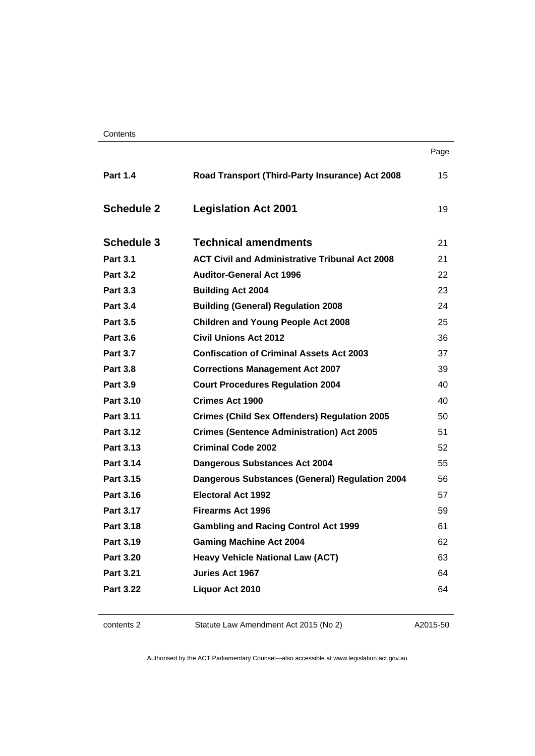**Contents** 

|                   |                                                       | Page |
|-------------------|-------------------------------------------------------|------|
| <b>Part 1.4</b>   | Road Transport (Third-Party Insurance) Act 2008       | 15   |
| <b>Schedule 2</b> | <b>Legislation Act 2001</b>                           | 19   |
| <b>Schedule 3</b> | <b>Technical amendments</b>                           | 21   |
| <b>Part 3.1</b>   | <b>ACT Civil and Administrative Tribunal Act 2008</b> | 21   |
| <b>Part 3.2</b>   | <b>Auditor-General Act 1996</b>                       | 22   |
| <b>Part 3.3</b>   | <b>Building Act 2004</b>                              | 23   |
| <b>Part 3.4</b>   | <b>Building (General) Regulation 2008</b>             | 24   |
| <b>Part 3.5</b>   | <b>Children and Young People Act 2008</b>             | 25   |
| <b>Part 3.6</b>   | <b>Civil Unions Act 2012</b>                          | 36   |
| <b>Part 3.7</b>   | <b>Confiscation of Criminal Assets Act 2003</b>       | 37   |
| <b>Part 3.8</b>   | <b>Corrections Management Act 2007</b>                | 39   |
| <b>Part 3.9</b>   | <b>Court Procedures Regulation 2004</b>               | 40   |
| <b>Part 3.10</b>  | Crimes Act 1900                                       | 40   |
| Part 3.11         | <b>Crimes (Child Sex Offenders) Regulation 2005</b>   | 50   |
| Part 3.12         | <b>Crimes (Sentence Administration) Act 2005</b>      | 51   |
| Part 3.13         | <b>Criminal Code 2002</b>                             | 52   |
| Part 3.14         | <b>Dangerous Substances Act 2004</b>                  | 55   |
| <b>Part 3.15</b>  | <b>Dangerous Substances (General) Regulation 2004</b> | 56.  |
| Part 3.16         | <b>Electoral Act 1992</b>                             | 57   |
| Part 3.17         | <b>Firearms Act 1996</b>                              | 59   |
| <b>Part 3.18</b>  | <b>Gambling and Racing Control Act 1999</b>           | 61   |
| Part 3.19         | <b>Gaming Machine Act 2004</b>                        | 62   |
| <b>Part 3.20</b>  | <b>Heavy Vehicle National Law (ACT)</b>               | 63   |
| <b>Part 3.21</b>  | Juries Act 1967                                       | 64   |
| Part 3.22         | Liquor Act 2010                                       | 64   |

| contents 2 |
|------------|
|------------|

2 Statute Law Amendment Act 2015 (No 2)

A2015-50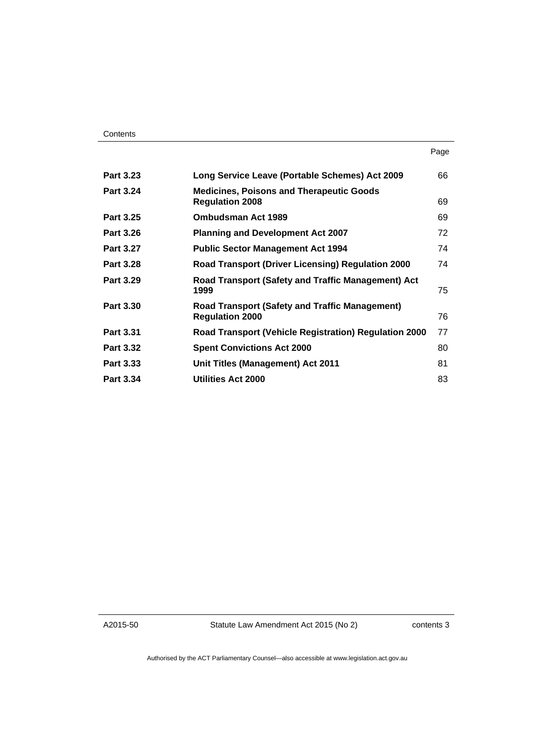| <b>Part 3.23</b> | Long Service Leave (Portable Schemes) Act 2009                                  | 66 |
|------------------|---------------------------------------------------------------------------------|----|
| <b>Part 3.24</b> | <b>Medicines, Poisons and Therapeutic Goods</b><br><b>Regulation 2008</b>       | 69 |
| Part 3.25        | <b>Ombudsman Act 1989</b>                                                       | 69 |
| Part 3.26        | <b>Planning and Development Act 2007</b>                                        | 72 |
| <b>Part 3.27</b> | <b>Public Sector Management Act 1994</b>                                        | 74 |
| <b>Part 3.28</b> | <b>Road Transport (Driver Licensing) Regulation 2000</b>                        | 74 |
| <b>Part 3.29</b> | Road Transport (Safety and Traffic Management) Act<br>1999                      | 75 |
| <b>Part 3.30</b> | <b>Road Transport (Safety and Traffic Management)</b><br><b>Regulation 2000</b> | 76 |
| Part 3.31        | <b>Road Transport (Vehicle Registration) Regulation 2000</b>                    | 77 |
| <b>Part 3.32</b> | <b>Spent Convictions Act 2000</b>                                               | 80 |
| <b>Part 3.33</b> | Unit Titles (Management) Act 2011                                               | 81 |
| <b>Part 3.34</b> | Utilities Act 2000                                                              | 83 |
|                  |                                                                                 |    |

A2015-50

Statute Law Amendment Act 2015 (No 2)

contents 3

Page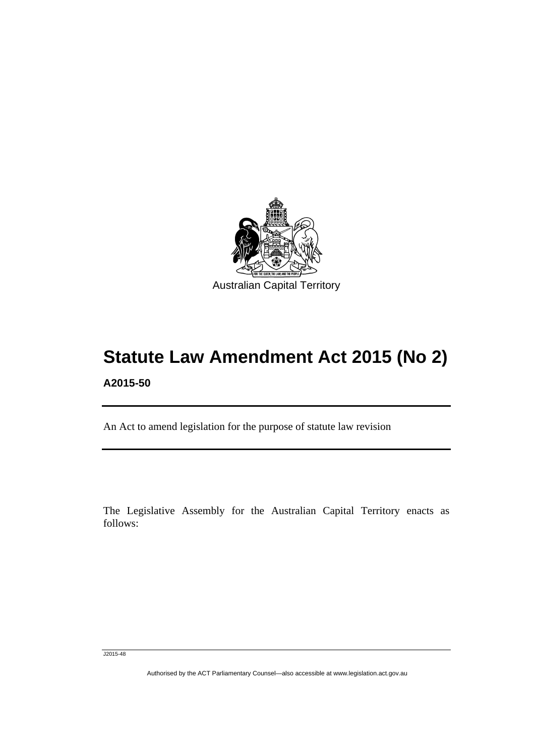

# **Statute Law Amendment Act 2015 (No 2) A2015-50**

An Act to amend legislation for the purpose of statute law revision

The Legislative Assembly for the Australian Capital Territory enacts as follows:

J2015-48

l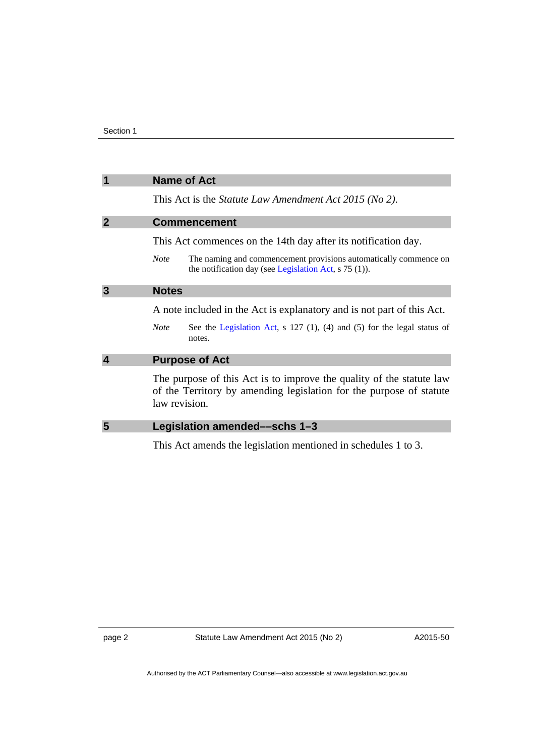<span id="page-5-3"></span><span id="page-5-2"></span><span id="page-5-1"></span><span id="page-5-0"></span>

| 1                       | <b>Name of Act</b>                                                                                                                                           |  |
|-------------------------|--------------------------------------------------------------------------------------------------------------------------------------------------------------|--|
|                         | This Act is the <i>Statute Law Amendment Act 2015 (No 2)</i> .                                                                                               |  |
| $\overline{2}$          | <b>Commencement</b>                                                                                                                                          |  |
|                         | This Act commences on the 14th day after its notification day.                                                                                               |  |
|                         | The naming and commencement provisions automatically commence on<br><b>Note</b><br>the notification day (see Legislation Act, $s$ 75 (1)).                   |  |
| 3                       | <b>Notes</b>                                                                                                                                                 |  |
|                         | A note included in the Act is explanatory and is not part of this Act.                                                                                       |  |
|                         | See the Legislation Act, $s$ 127 (1), (4) and (5) for the legal status of<br><b>Note</b><br>notes.                                                           |  |
| $\overline{\mathbf{4}}$ | <b>Purpose of Act</b>                                                                                                                                        |  |
|                         | The purpose of this Act is to improve the quality of the statute law<br>of the Territory by amending legislation for the purpose of statute<br>law revision. |  |
| 5                       | Legislation amended—schs 1-3                                                                                                                                 |  |
|                         | This Act amends the legislation mentioned in schedules 1 to 3.                                                                                               |  |

<span id="page-5-4"></span>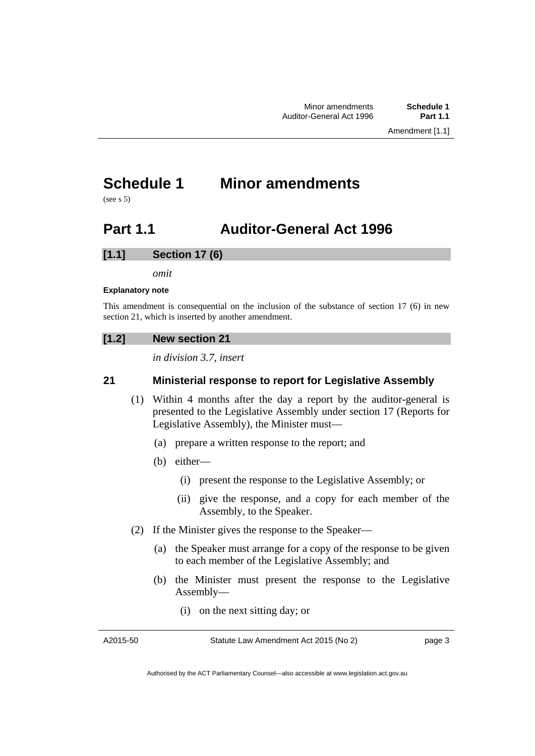# <span id="page-6-0"></span>**Schedule 1 Minor amendments**

(see s 5)

# <span id="page-6-1"></span>**Part 1.1 Auditor-General Act 1996**

# **[1.1] Section 17 (6)**

*omit* 

#### **Explanatory note**

This amendment is consequential on the inclusion of the substance of section 17 (6) in new section 21, which is inserted by another amendment.

# **[1.2] New section 21**

*in division 3.7, insert* 

# **21 Ministerial response to report for Legislative Assembly**

- (1) Within 4 months after the day a report by the auditor-general is presented to the Legislative Assembly under section 17 (Reports for Legislative Assembly), the Minister must—
	- (a) prepare a written response to the report; and
	- (b) either—
		- (i) present the response to the Legislative Assembly; or
		- (ii) give the response, and a copy for each member of the Assembly, to the Speaker.
- (2) If the Minister gives the response to the Speaker—
	- (a) the Speaker must arrange for a copy of the response to be given to each member of the Legislative Assembly; and
	- (b) the Minister must present the response to the Legislative Assembly—
		- (i) on the next sitting day; or

A2015-50

page 3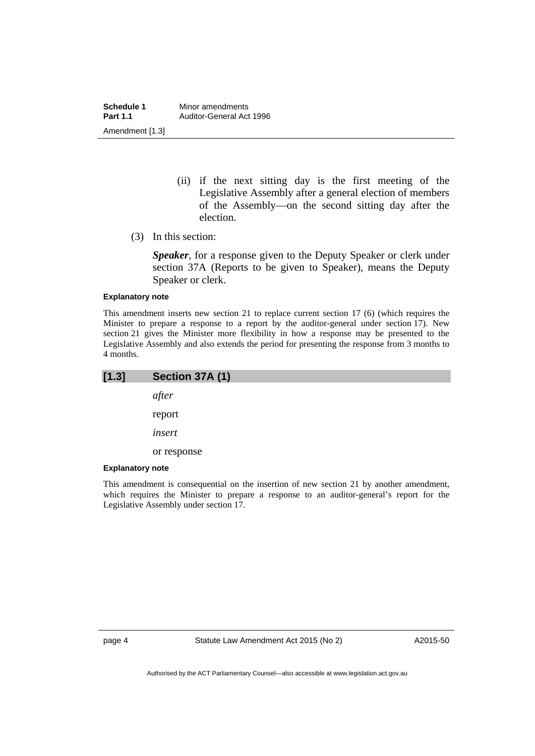**Schedule 1** Minor amendments<br>**Part 1.1** Auditor-General Act **Part 1.1** Auditor-General Act 1996 Amendment [1.3]

- (ii) if the next sitting day is the first meeting of the Legislative Assembly after a general election of members of the Assembly—on the second sitting day after the election.
- (3) In this section:

*Speaker*, for a response given to the Deputy Speaker or clerk under section 37A (Reports to be given to Speaker), means the Deputy Speaker or clerk.

#### **Explanatory note**

This amendment inserts new section 21 to replace current section 17 (6) (which requires the Minister to prepare a response to a report by the auditor-general under section 17). New section 21 gives the Minister more flexibility in how a response may be presented to the Legislative Assembly and also extends the period for presenting the response from 3 months to 4 months.

| [1.3]                    | Section 37A (1) |
|--------------------------|-----------------|
|                          | after           |
|                          | report          |
|                          | insert          |
|                          | or response     |
| Ford Law at a common the |                 |

#### **Explanatory note**

This amendment is consequential on the insertion of new section 21 by another amendment, which requires the Minister to prepare a response to an auditor-general's report for the Legislative Assembly under section 17.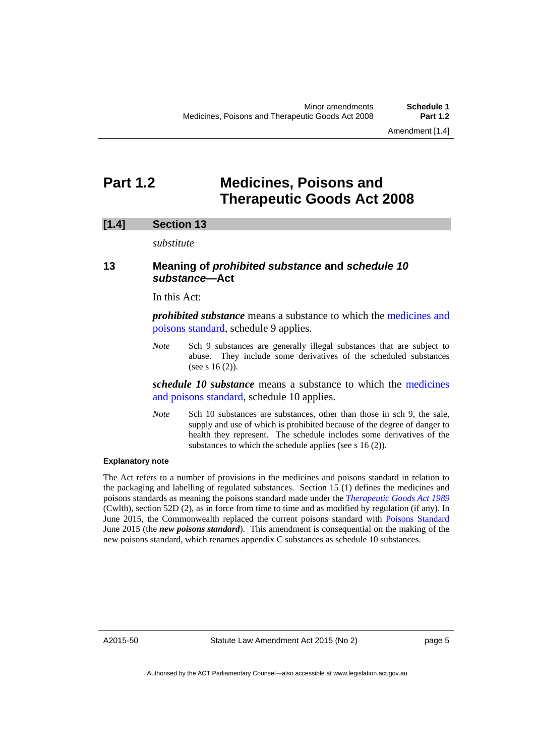# <span id="page-8-0"></span>**Part 1.2 Medicines, Poisons and Therapeutic Goods Act 2008**

## **[1.4] Section 13**

*substitute* 

# **13 Meaning of** *prohibited substance* **and** *schedule 10 substance***—Act**

In this Act:

*prohibited substance* means a substance to which the [medicines and](http://www.comlaw.gov.au/Series/F2012L01200)  [poisons standard](http://www.comlaw.gov.au/Series/F2012L01200), schedule 9 applies.

*Note* Sch 9 substances are generally illegal substances that are subject to abuse. They include some derivatives of the scheduled substances (see s 16 (2)).

*schedule 10 substance* means a substance to which the [medicines](http://www.comlaw.gov.au/Series/F2012L01200)  [and poisons standard,](http://www.comlaw.gov.au/Series/F2012L01200) schedule 10 applies.

*Note* Sch 10 substances are substances, other than those in sch 9, the sale, supply and use of which is prohibited because of the degree of danger to health they represent. The schedule includes some derivatives of the substances to which the schedule applies (see s 16 (2)).

#### **Explanatory note**

The Act refers to a number of provisions in the medicines and poisons standard in relation to the packaging and labelling of regulated substances. Section 15 (1) defines the medicines and poisons standards as meaning the poisons standard made under the *[Therapeutic Goods Act 1989](https://www.comlaw.gov.au/Details/C2015C00471)* (Cwlth), section 52D (2), as in force from time to time and as modified by regulation (if any). In June 2015, the Commonwealth replaced the current poisons standard with [Poisons Standard](https://www.comlaw.gov.au/Details/F2015L00749) June 2015 (the *new poisons standard*). This amendment is consequential on the making of the new poisons standard, which renames appendix C substances as schedule 10 substances.

A2015-50

page 5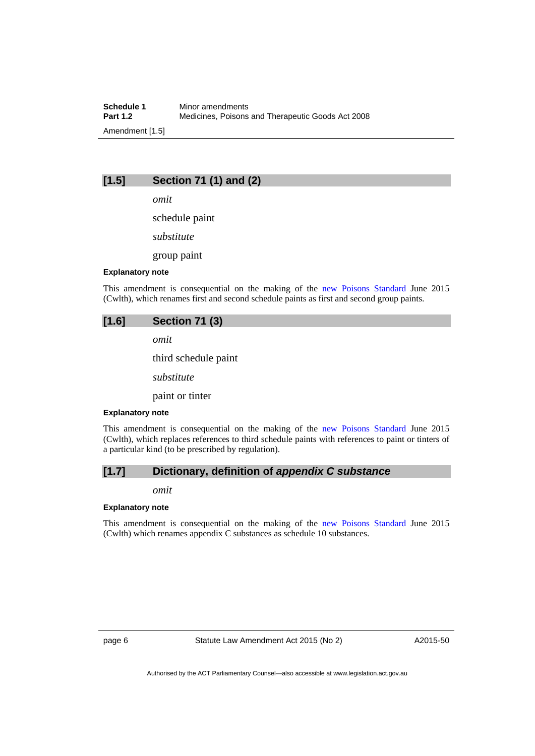**Schedule 1** Minor amendments<br>**Part 1.2** Medicines. Poisons **Part 1.2** Medicines, Poisons and Therapeutic Goods Act 2008 Amendment [1.5]

# **[1.5] Section 71 (1) and (2)**

*omit* 

schedule paint

*substitute* 

group paint

#### **Explanatory note**

This amendment is consequential on the making of the [new Poisons Standard](https://www.comlaw.gov.au/Details/F2015L00749) June 2015 (Cwlth), which renames first and second schedule paints as first and second group paints.

## **[1.6] Section 71 (3)**

*omit* 

third schedule paint

*substitute* 

paint or tinter

#### **Explanatory note**

This amendment is consequential on the making of the [new Poisons Standard](https://www.comlaw.gov.au/Details/F2015L00749) June 2015 (Cwlth), which replaces references to third schedule paints with references to paint or tinters of a particular kind (to be prescribed by regulation).

## **[1.7] Dictionary, definition of** *appendix C substance*

*omit* 

#### **Explanatory note**

This amendment is consequential on the making of the [new Poisons Standard](https://www.comlaw.gov.au/Details/F2015L00749) June 2015 (Cwlth) which renames appendix C substances as schedule 10 substances.

page 6 Statute Law Amendment Act 2015 (No 2)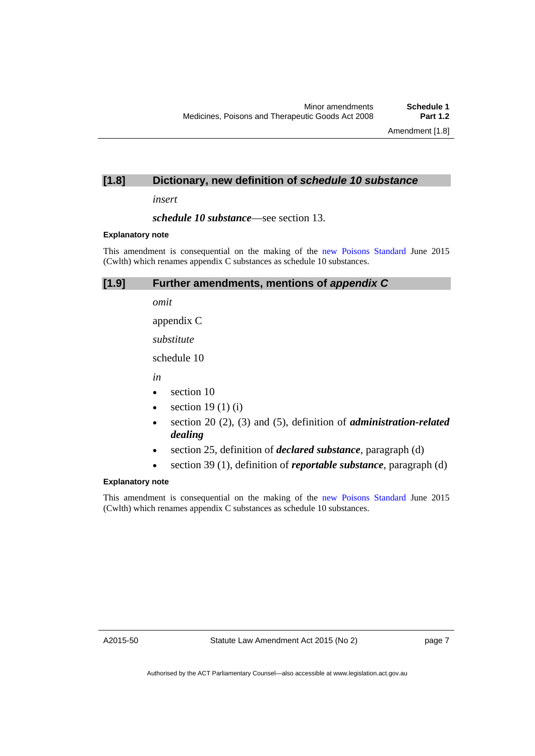# **[1.8] Dictionary, new definition of** *schedule 10 substance*

*insert* 

*schedule 10 substance*—see section 13.

#### **Explanatory note**

This amendment is consequential on the making of the [new Poisons Standard](https://www.comlaw.gov.au/Details/F2015L00749) June 2015 (Cwlth) which renames appendix C substances as schedule 10 substances.

# **[1.9] Further amendments, mentions of** *appendix C*

*omit* 

appendix C

*substitute* 

schedule 10

*in* 

- section 10
- $\bullet$  section 19 (1) (i)
- section 20 (2), (3) and (5), definition of *administration-related dealing*
- section 25, definition of *declared substance*, paragraph (d)
- section 39 (1), definition of *reportable substance*, paragraph (d)

#### **Explanatory note**

This amendment is consequential on the making of the [new Poisons Standard](https://www.comlaw.gov.au/Details/F2015L00749) June 2015 (Cwlth) which renames appendix C substances as schedule 10 substances.

A2015-50

page 7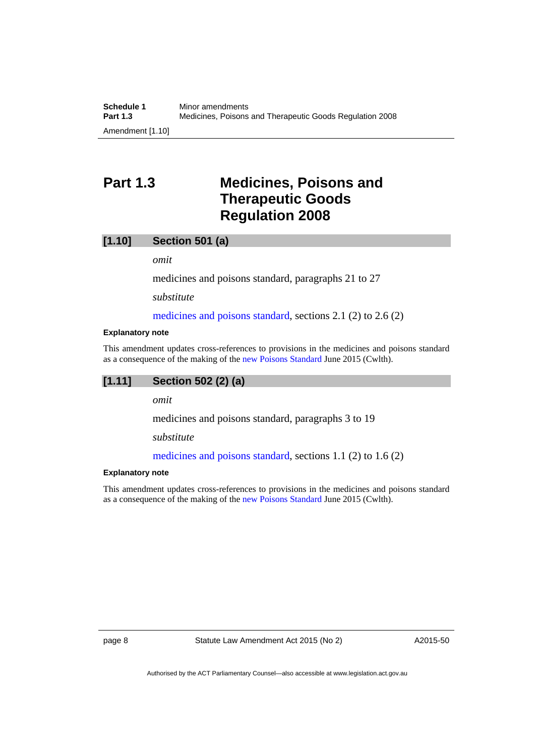# <span id="page-11-0"></span>**Part 1.3 Medicines, Poisons and Therapeutic Goods Regulation 2008**

#### **[1.10] Section 501 (a)**

*omit* 

medicines and poisons standard, paragraphs 21 to 27

*substitute* 

[medicines and poisons standard](http://www.comlaw.gov.au/Series/F2012L01200), sections 2.1 (2) to 2.6 (2)

#### **Explanatory note**

This amendment updates cross-references to provisions in the medicines and poisons standard as a consequence of the making of the [new Poisons Standard](https://www.comlaw.gov.au/Details/F2015L00749) June 2015 (Cwlth).

#### **[1.11] Section 502 (2) (a)**

*omit* 

medicines and poisons standard, paragraphs 3 to 19

*substitute* 

[medicines and poisons standard](http://www.comlaw.gov.au/Series/F2012L01200), sections 1.1 (2) to 1.6 (2)

#### **Explanatory note**

This amendment updates cross-references to provisions in the medicines and poisons standard as a consequence of the making of the [new Poisons Standard](https://www.comlaw.gov.au/Details/F2015L00749) June 2015 (Cwlth).

page 8 Statute Law Amendment Act 2015 (No 2)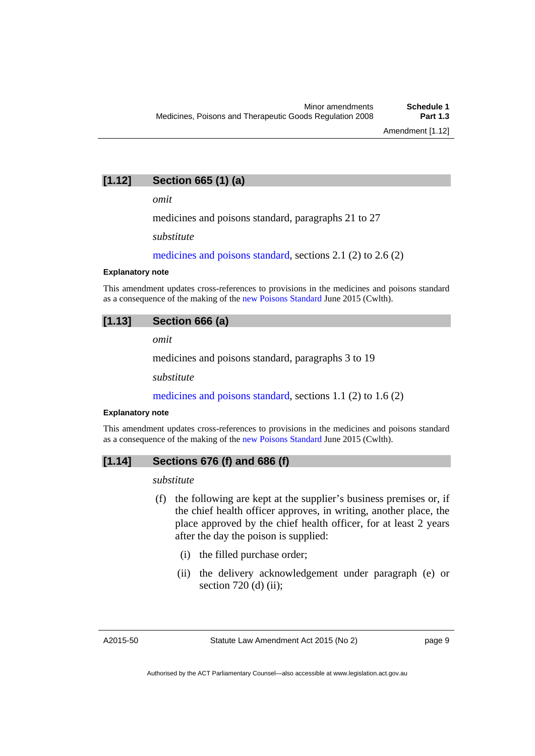# **[1.12] Section 665 (1) (a)**

*omit* 

medicines and poisons standard, paragraphs 21 to 27

*substitute* 

[medicines and poisons standard](http://www.comlaw.gov.au/Series/F2012L01200), sections 2.1 (2) to 2.6 (2)

#### **Explanatory note**

This amendment updates cross-references to provisions in the medicines and poisons standard as a consequence of the making of the [new Poisons Standard](https://www.comlaw.gov.au/Details/F2015L00749) June 2015 (Cwlth).

## **[1.13] Section 666 (a)**

*omit* 

medicines and poisons standard, paragraphs 3 to 19

*substitute* 

[medicines and poisons standard](http://www.comlaw.gov.au/Series/F2012L01200), sections 1.1 (2) to 1.6 (2)

#### **Explanatory note**

This amendment updates cross-references to provisions in the medicines and poisons standard as a consequence of the making of the [new Poisons Standard](https://www.comlaw.gov.au/Details/F2015L00749) June 2015 (Cwlth).

# **[1.14] Sections 676 (f) and 686 (f)**

*substitute* 

- (f) the following are kept at the supplier's business premises or, if the chief health officer approves, in writing, another place, the place approved by the chief health officer, for at least 2 years after the day the poison is supplied:
	- (i) the filled purchase order;
	- (ii) the delivery acknowledgement under paragraph (e) or section 720 (d) (ii);

A2015-50

page 9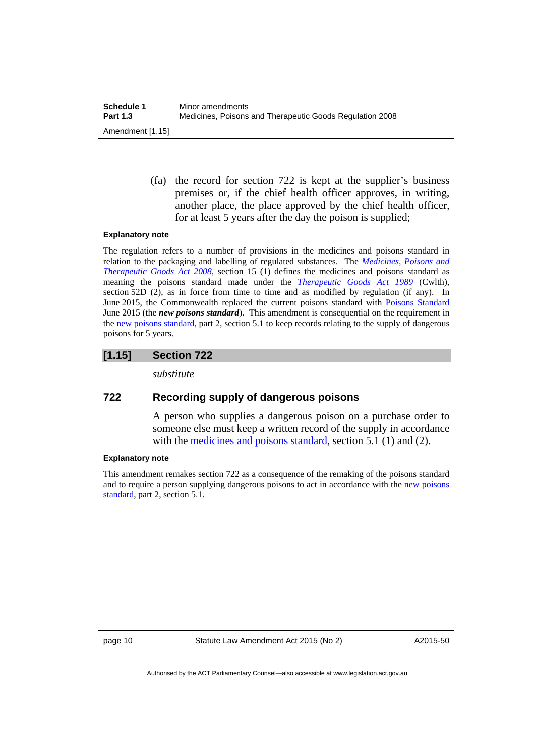(fa) the record for section 722 is kept at the supplier's business premises or, if the chief health officer approves, in writing, another place, the place approved by the chief health officer, for at least 5 years after the day the poison is supplied;

#### **Explanatory note**

The regulation refers to a number of provisions in the medicines and poisons standard in relation to the packaging and labelling of regulated substances. The *[Medicines, Poisons and](http://www.legislation.act.gov.au/a/2008-26)  [Therapeutic Goods Act 2008](http://www.legislation.act.gov.au/a/2008-26)*, section 15 (1) defines the medicines and poisons standard as meaning the poisons standard made under the *[Therapeutic Goods Act 1989](https://www.comlaw.gov.au/Details/C2015C00471)* (Cwlth), section 52D (2), as in force from time to time and as modified by regulation (if any). In June 2015, the Commonwealth replaced the current poisons standard with [Poisons Standard](https://www.comlaw.gov.au/Details/F2015L00749) June 2015 (the *new poisons standard*). This amendment is consequential on the requirement in the [new poisons standard](https://www.comlaw.gov.au/Details/F2015L00749), part 2, section 5.1 to keep records relating to the supply of dangerous poisons for 5 years.

# **[1.15] Section 722**

*substitute* 

# **722 Recording supply of dangerous poisons**

A person who supplies a dangerous poison on a purchase order to someone else must keep a written record of the supply in accordance with the [medicines and poisons standard](http://www.comlaw.gov.au/Series/F2012L01200), section 5.1 (1) and (2).

#### **Explanatory note**

This amendment remakes section 722 as a consequence of the remaking of the poisons standard and to require a person supplying dangerous poisons to act in accordance with the [new poisons](https://www.comlaw.gov.au/Details/F2015L00749)  [standard,](https://www.comlaw.gov.au/Details/F2015L00749) part 2, section 5.1.

page 10 Statute Law Amendment Act 2015 (No 2)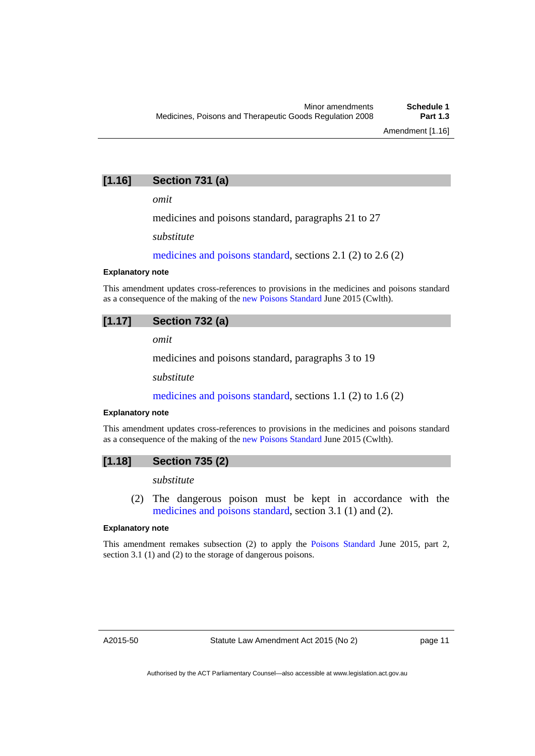# **[1.16] Section 731 (a)**

*omit* 

medicines and poisons standard, paragraphs 21 to 27

*substitute* 

[medicines and poisons standard](http://www.comlaw.gov.au/Series/F2012L01200), sections 2.1 (2) to 2.6 (2)

#### **Explanatory note**

This amendment updates cross-references to provisions in the medicines and poisons standard as a consequence of the making of the [new Poisons Standard](https://www.comlaw.gov.au/Details/F2015L00749) June 2015 (Cwlth).

# **[1.17] Section 732 (a)**

*omit* 

medicines and poisons standard, paragraphs 3 to 19

*substitute* 

[medicines and poisons standard](http://www.comlaw.gov.au/Series/F2012L01200), sections 1.1 (2) to 1.6 (2)

#### **Explanatory note**

This amendment updates cross-references to provisions in the medicines and poisons standard as a consequence of the making of the [new Poisons Standard](https://www.comlaw.gov.au/Details/F2015L00749) June 2015 (Cwlth).

## **[1.18] Section 735 (2)**

*substitute* 

 (2) The dangerous poison must be kept in accordance with the [medicines and poisons standard](http://www.comlaw.gov.au/Series/F2012L01200), section 3.1 (1) and (2).

#### **Explanatory note**

This amendment remakes subsection (2) to apply the [Poisons Standard](https://www.comlaw.gov.au/Details/F2015L00749) June 2015, part 2, section 3.1 (1) and (2) to the storage of dangerous poisons.

A2015-50

page 11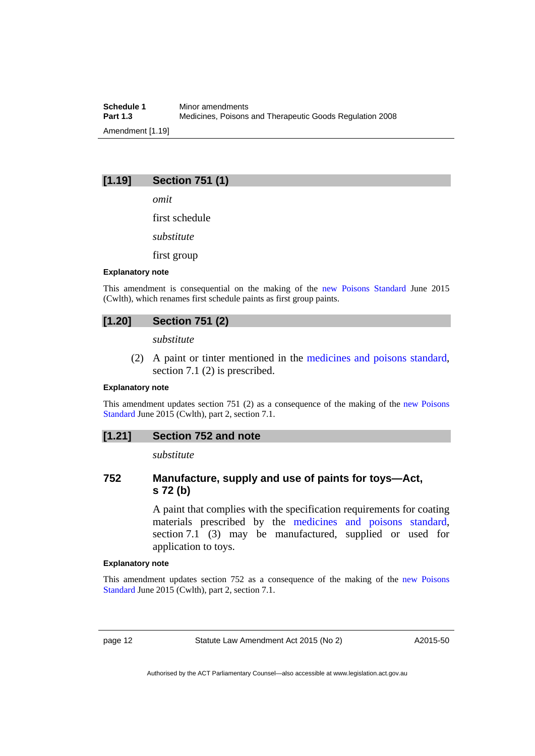**Schedule 1** Minor amendments<br>**Part 1.3** Medicines. Poisons **Part 1.3** Medicines, Poisons and Therapeutic Goods Regulation 2008 Amendment [1.19]

# **[1.19] Section 751 (1)**

*omit* 

first schedule

*substitute* 

first group

#### **Explanatory note**

This amendment is consequential on the making of the [new Poisons Standard](https://www.comlaw.gov.au/Details/F2015L00749) June 2015 (Cwlth), which renames first schedule paints as first group paints.

# **[1.20] Section 751 (2)**

*substitute* 

 (2) A paint or tinter mentioned in the [medicines and poisons standard,](http://www.comlaw.gov.au/Series/F2012L01200) section 7.1 (2) is prescribed.

#### **Explanatory note**

This amendment updates section 751 (2) as a consequence of the making of the [new Poisons](https://www.comlaw.gov.au/Details/F2015L00749)  [Standard](https://www.comlaw.gov.au/Details/F2015L00749) June 2015 (Cwlth), part 2, section 7.1.

## **[1.21] Section 752 and note**

*substitute* 

# **752 Manufacture, supply and use of paints for toys—Act, s 72 (b)**

A paint that complies with the specification requirements for coating materials prescribed by the [medicines and poisons standard](http://www.comlaw.gov.au/Series/F2012L01200), section 7.1 (3) may be manufactured, supplied or used for application to toys.

#### **Explanatory note**

This amendment updates section 752 as a consequence of the making of the [new Poisons](https://www.comlaw.gov.au/Details/F2015L00749)  [Standard](https://www.comlaw.gov.au/Details/F2015L00749) June 2015 (Cwlth), part 2, section 7.1.

page 12 Statute Law Amendment Act 2015 (No 2)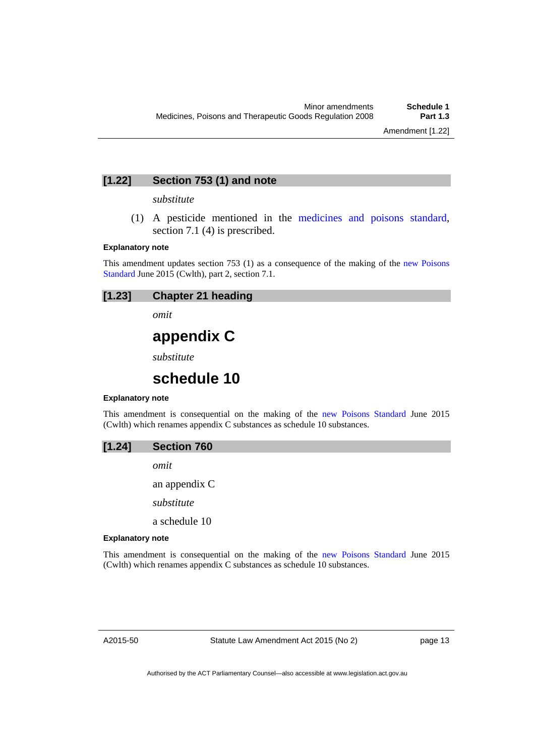# **[1.22] Section 753 (1) and note**

#### *substitute*

 (1) A pesticide mentioned in the [medicines and poisons standard](http://www.comlaw.gov.au/Series/F2012L01200), section 7.1 (4) is prescribed.

#### **Explanatory note**

This amendment updates section 753 (1) as a consequence of the making of the [new Poisons](https://www.comlaw.gov.au/Details/F2015L00749)  [Standard](https://www.comlaw.gov.au/Details/F2015L00749) June 2015 (Cwlth), part 2, section 7.1.

# **[1.23] Chapter 21 heading**

*omit* 

# **appendix C**

*substitute* 

# **schedule 10**

#### **Explanatory note**

This amendment is consequential on the making of the [new Poisons Standard](https://www.comlaw.gov.au/Details/F2015L00749) June 2015 (Cwlth) which renames appendix C substances as schedule 10 substances.

*omit* 

an appendix C

*substitute* 

a schedule 10

#### **Explanatory note**

This amendment is consequential on the making of the [new Poisons Standard](https://www.comlaw.gov.au/Details/F2015L00749) June 2015 (Cwlth) which renames appendix C substances as schedule 10 substances.

A2015-50

Statute Law Amendment Act 2015 (No 2)

page 13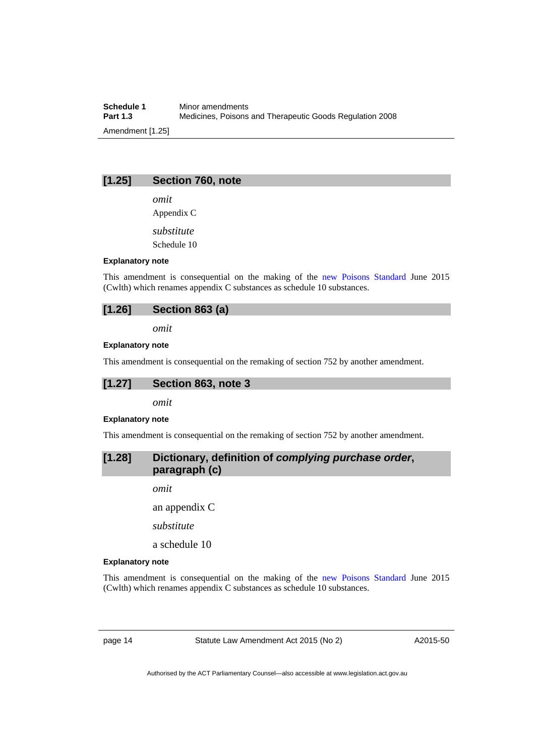**Schedule 1** Minor amendments<br>**Part 1.3** Medicines. Poisons **Part 1.3** Medicines, Poisons and Therapeutic Goods Regulation 2008 Amendment [1.25]

## **[1.25] Section 760, note**

*omit* 

Appendix C

*substitute* 

Schedule 10

#### **Explanatory note**

This amendment is consequential on the making of the [new Poisons Standard](https://www.comlaw.gov.au/Details/F2015L00749) June 2015 (Cwlth) which renames appendix C substances as schedule 10 substances.

# **[1.26] Section 863 (a)**

*omit* 

#### **Explanatory note**

This amendment is consequential on the remaking of section 752 by another amendment.

# **[1.27] Section 863, note 3**

*omit* 

#### **Explanatory note**

This amendment is consequential on the remaking of section 752 by another amendment.

# **[1.28] Dictionary, definition of** *complying purchase order***, paragraph (c)**

*omit* 

an appendix C

*substitute* 

a schedule 10

#### **Explanatory note**

This amendment is consequential on the making of the [new Poisons Standard](https://www.comlaw.gov.au/Details/F2015L00749) June 2015 (Cwlth) which renames appendix C substances as schedule 10 substances.

page 14 Statute Law Amendment Act 2015 (No 2)

A2015-50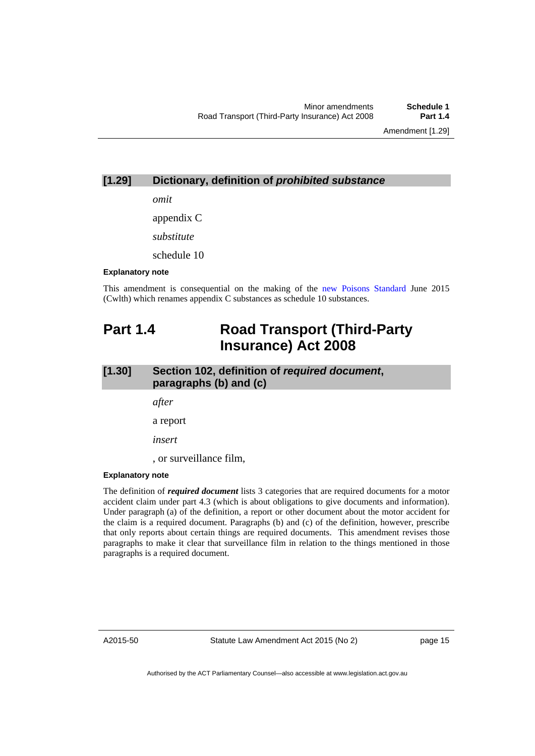Amendment [1.29]

# **[1.29] Dictionary, definition of** *prohibited substance*

*omit* 

appendix C

*substitute* 

schedule 10

#### **Explanatory note**

This amendment is consequential on the making of the [new Poisons Standard](https://www.comlaw.gov.au/Details/F2015L00749) June 2015 (Cwlth) which renames appendix C substances as schedule 10 substances.

# <span id="page-18-0"></span>**Part 1.4 Road Transport (Third-Party Insurance) Act 2008**

# **[1.30] Section 102, definition of** *required document***, paragraphs (b) and (c)**

*after* 

a report

*insert* 

, or surveillance film,

#### **Explanatory note**

The definition of *required document* lists 3 categories that are required documents for a motor accident claim under part 4.3 (which is about obligations to give documents and information). Under paragraph (a) of the definition, a report or other document about the motor accident for the claim is a required document. Paragraphs (b) and (c) of the definition, however, prescribe that only reports about certain things are required documents. This amendment revises those paragraphs to make it clear that surveillance film in relation to the things mentioned in those paragraphs is a required document.

A2015-50

Statute Law Amendment Act 2015 (No 2)

page 15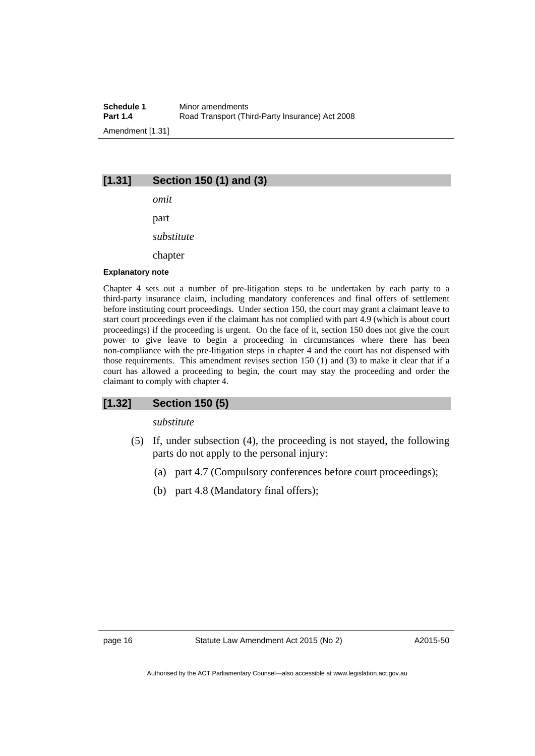# **[1.31] Section 150 (1) and (3)**

*omit*  part *substitute*  chapter

#### **Explanatory note**

Chapter 4 sets out a number of pre-litigation steps to be undertaken by each party to a third-party insurance claim, including mandatory conferences and final offers of settlement before instituting court proceedings. Under section 150, the court may grant a claimant leave to start court proceedings even if the claimant has not complied with part 4.9 (which is about court proceedings) if the proceeding is urgent. On the face of it, section 150 does not give the court power to give leave to begin a proceeding in circumstances where there has been non-compliance with the pre-litigation steps in chapter 4 and the court has not dispensed with those requirements. This amendment revises section 150 (1) and (3) to make it clear that if a court has allowed a proceeding to begin, the court may stay the proceeding and order the claimant to comply with chapter 4.

## **[1.32] Section 150 (5)**

*substitute* 

- (5) If, under subsection (4), the proceeding is not stayed, the following parts do not apply to the personal injury:
	- (a) part 4.7 (Compulsory conferences before court proceedings);
	- (b) part 4.8 (Mandatory final offers);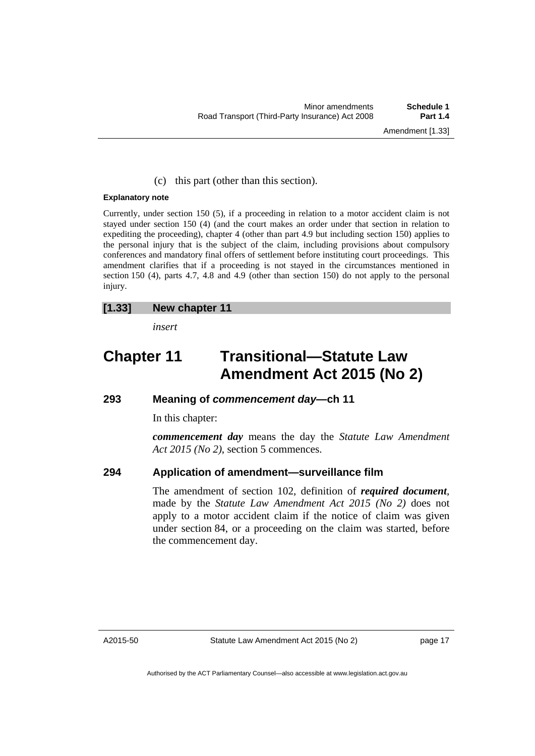## (c) this part (other than this section).

#### **Explanatory note**

Currently, under section 150 (5), if a proceeding in relation to a motor accident claim is not stayed under section 150 (4) (and the court makes an order under that section in relation to expediting the proceeding), chapter 4 (other than part 4.9 but including section 150) applies to the personal injury that is the subject of the claim, including provisions about compulsory conferences and mandatory final offers of settlement before instituting court proceedings. This amendment clarifies that if a proceeding is not stayed in the circumstances mentioned in section 150 (4), parts 4.7, 4.8 and 4.9 (other than section 150) do not apply to the personal injury.

# **[1.33] New chapter 11**

*insert* 

# **Chapter 11 Transitional—Statute Law Amendment Act 2015 (No 2)**

# **293 Meaning of** *commencement day***—ch 11**

In this chapter:

*commencement day* means the day the *Statute Law Amendment Act 2015 (No 2)*, section 5 commences.

# **294 Application of amendment—surveillance film**

The amendment of section 102, definition of *required document*, made by the *Statute Law Amendment Act 2015 (No 2)* does not apply to a motor accident claim if the notice of claim was given under section 84, or a proceeding on the claim was started, before the commencement day.

page 17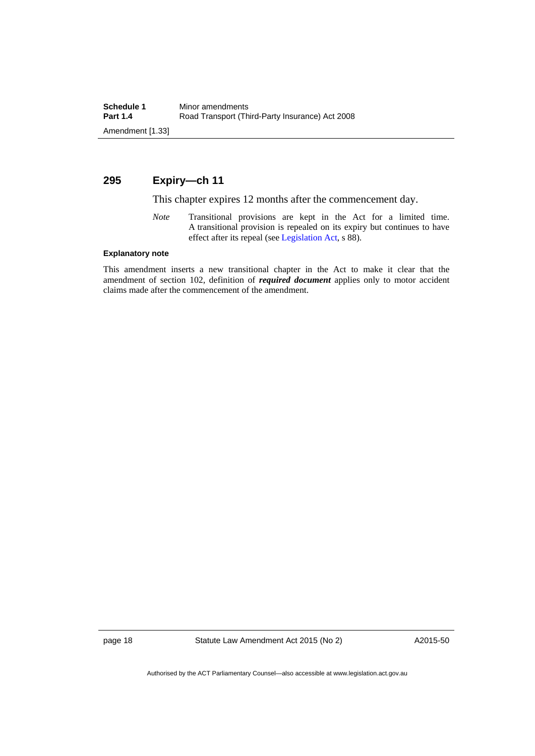# **295 Expiry—ch 11**

This chapter expires 12 months after the commencement day.

*Note* Transitional provisions are kept in the Act for a limited time. A transitional provision is repealed on its expiry but continues to have effect after its repeal (see [Legislation Act,](http://www.legislation.act.gov.au/a/2001-14) s 88).

#### **Explanatory note**

This amendment inserts a new transitional chapter in the Act to make it clear that the amendment of section 102, definition of *required document* applies only to motor accident claims made after the commencement of the amendment.

page 18 Statute Law Amendment Act 2015 (No 2)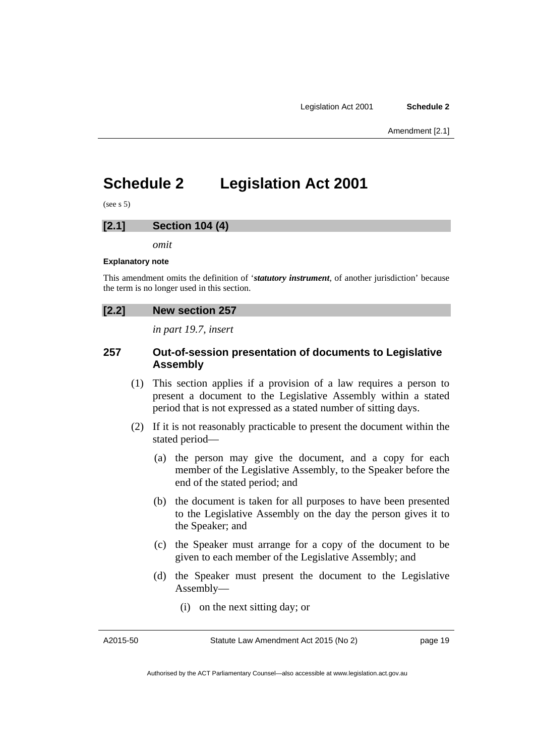# <span id="page-22-0"></span>**Schedule 2 Legislation Act 2001**

 $(see s 5)$ 

# **[2.1] Section 104 (4)**

*omit* 

#### **Explanatory note**

This amendment omits the definition of '*statutory instrument*, of another jurisdiction' because the term is no longer used in this section.

# **[2.2] New section 257**

*in part 19.7, insert* 

# **257 Out-of-session presentation of documents to Legislative Assembly**

- (1) This section applies if a provision of a law requires a person to present a document to the Legislative Assembly within a stated period that is not expressed as a stated number of sitting days.
- (2) If it is not reasonably practicable to present the document within the stated period—
	- (a) the person may give the document, and a copy for each member of the Legislative Assembly, to the Speaker before the end of the stated period; and
	- (b) the document is taken for all purposes to have been presented to the Legislative Assembly on the day the person gives it to the Speaker; and
	- (c) the Speaker must arrange for a copy of the document to be given to each member of the Legislative Assembly; and
	- (d) the Speaker must present the document to the Legislative Assembly—
		- (i) on the next sitting day; or

A2015-50

page 19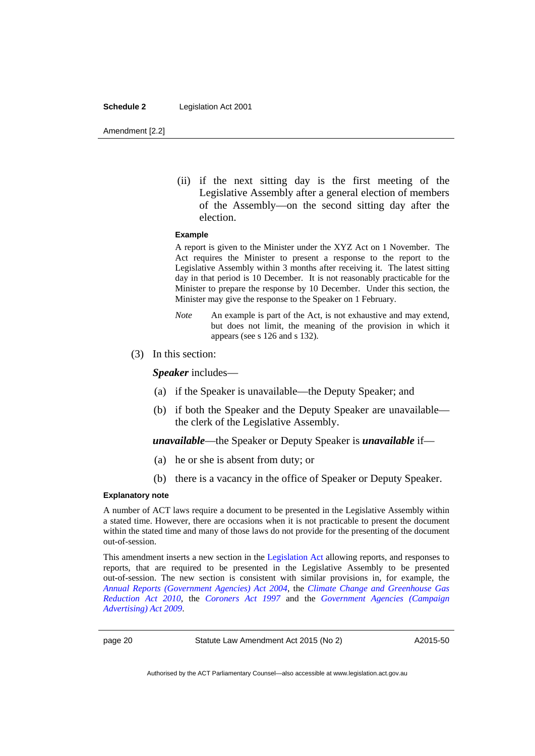#### **Schedule 2** Legislation Act 2001

Amendment [2.2]

(ii) if the next sitting day is the first meeting of the Legislative Assembly after a general election of members of the Assembly—on the second sitting day after the election.

#### **Example**

A report is given to the Minister under the XYZ Act on 1 November. The Act requires the Minister to present a response to the report to the Legislative Assembly within 3 months after receiving it. The latest sitting day in that period is 10 December. It is not reasonably practicable for the Minister to prepare the response by 10 December. Under this section, the Minister may give the response to the Speaker on 1 February.

- *Note* An example is part of the Act, is not exhaustive and may extend, but does not limit, the meaning of the provision in which it appears (see s 126 and s 132).
- (3) In this section:

*Speaker* includes—

- (a) if the Speaker is unavailable—the Deputy Speaker; and
- (b) if both the Speaker and the Deputy Speaker are unavailable the clerk of the Legislative Assembly.

*unavailable*—the Speaker or Deputy Speaker is *unavailable* if—

- (a) he or she is absent from duty; or
- (b) there is a vacancy in the office of Speaker or Deputy Speaker.

#### **Explanatory note**

A number of ACT laws require a document to be presented in the Legislative Assembly within a stated time. However, there are occasions when it is not practicable to present the document within the stated time and many of those laws do not provide for the presenting of the document out-of-session.

This amendment inserts a new section in the [Legislation Act](http://www.legislation.act.gov.au/a/2001-14) allowing reports, and responses to reports, that are required to be presented in the Legislative Assembly to be presented out-of-session. The new section is consistent with similar provisions in, for example, the *[Annual Reports \(Government Agencies\) Act 2004](http://www.legislation.act.gov.au/a/2004-8)*, the *[Climate Change and Greenhouse Gas](http://www.legislation.act.gov.au/a/2010-41)  [Reduction Act 2010](http://www.legislation.act.gov.au/a/2010-41)*, the *[Coroners Act 1997](http://www.legislation.act.gov.au/a/1997-57)* and the *[Government Agencies \(Campaign](http://www.legislation.act.gov.au/a/2009-55)  [Advertising\) Act 2009](http://www.legislation.act.gov.au/a/2009-55)*.

page 20 Statute Law Amendment Act 2015 (No 2)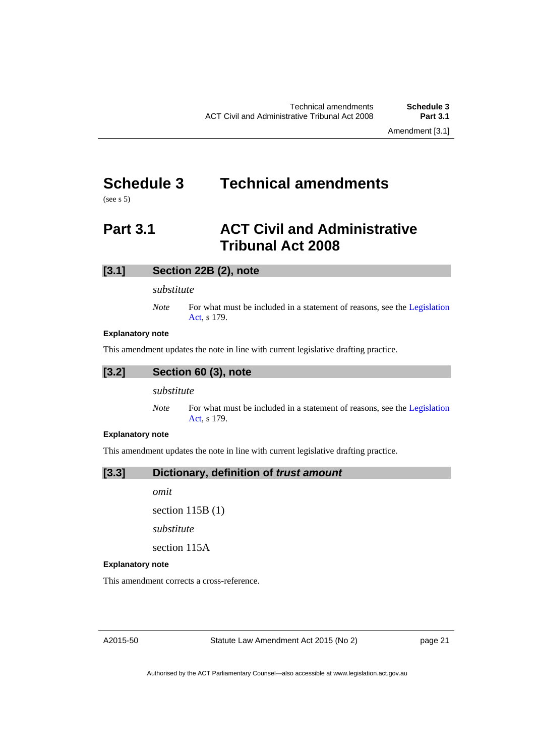# <span id="page-24-0"></span>**Schedule 3 Technical amendments**

(see s 5)

# <span id="page-24-1"></span>**Part 3.1 ACT Civil and Administrative Tribunal Act 2008**

# **[3.1] Section 22B (2), note**

#### *substitute*

*Note* For what must be included in a statement of reasons, see the Legislation [Act](http://www.legislation.act.gov.au/a/2001-14), s 179.

#### **Explanatory note**

This amendment updates the note in line with current legislative drafting practice.

$$
[3.2] \qquad \text{Section 60 (3), note}
$$

*substitute* 

*Note* For what must be included in a statement of reasons, see the Legislation [Act](http://www.legislation.act.gov.au/a/2001-14), s 179.

#### **Explanatory note**

This amendment updates the note in line with current legislative drafting practice.

**[3.3] Dictionary, definition of** *trust amount* 

*omit* 

section 115B (1)

*substitute* 

section 115A

#### **Explanatory note**

This amendment corrects a cross-reference.

A2015-50

Statute Law Amendment Act 2015 (No 2)

page 21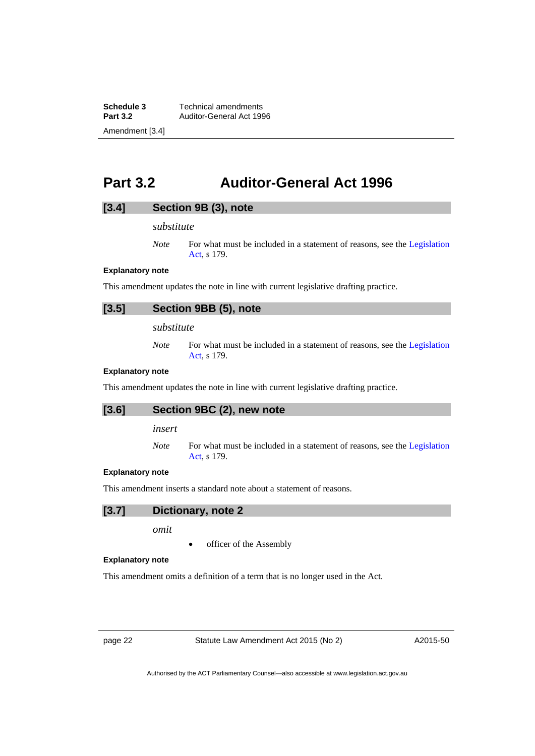**Schedule 3 Technical amendments**<br>**Part 3.2 Auditor-General Act 199 Part 3.2** Auditor-General Act 1996 Amendment [3.4]

# <span id="page-25-0"></span>**Part 3.2 Auditor-General Act 1996**

# **[3.4] Section 9B (3), note**

*substitute* 

*Note* For what must be included in a statement of reasons, see the Legislation [Act](http://www.legislation.act.gov.au/a/2001-14), s 179.

### **Explanatory note**

This amendment updates the note in line with current legislative drafting practice.

# **[3.5] Section 9BB (5), note**

*substitute* 

*Note* For what must be included in a statement of reasons, see the Legislation [Act](http://www.legislation.act.gov.au/a/2001-14), s 179.

#### **Explanatory note**

This amendment updates the note in line with current legislative drafting practice.

### **[3.6] Section 9BC (2), new note**

*insert* 

*Note* For what must be included in a statement of reasons, see the Legislation [Act](http://www.legislation.act.gov.au/a/2001-14), s 179.

#### **Explanatory note**

This amendment inserts a standard note about a statement of reasons.

# **[3.7] Dictionary, note 2**

*omit* 

officer of the Assembly

# **Explanatory note**

This amendment omits a definition of a term that is no longer used in the Act.

page 22 Statute Law Amendment Act 2015 (No 2)

A2015-50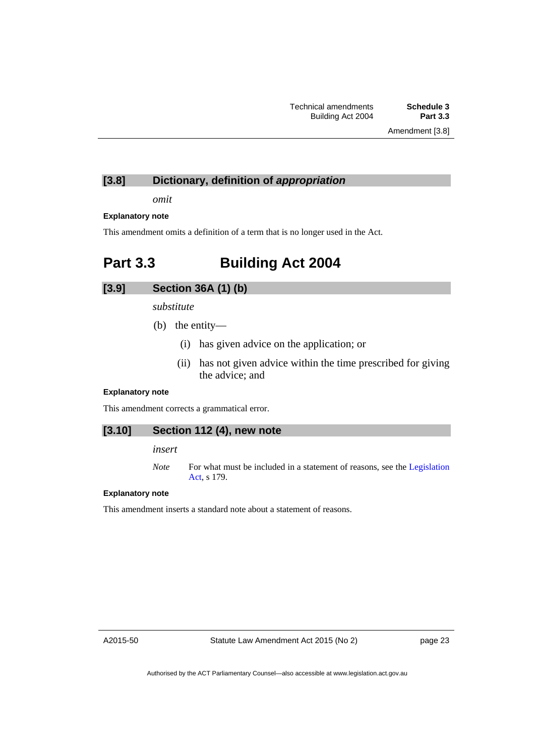# **[3.8] Dictionary, definition of** *appropriation*

*omit* 

#### **Explanatory note**

This amendment omits a definition of a term that is no longer used in the Act.

# <span id="page-26-0"></span>**Part 3.3 Building Act 2004**

## **[3.9] Section 36A (1) (b)**

*substitute* 

- (b) the entity—
	- (i) has given advice on the application; or
	- (ii) has not given advice within the time prescribed for giving the advice; and

#### **Explanatory note**

This amendment corrects a grammatical error.

# **[3.10] Section 112 (4), new note**

#### *insert*

*Note* For what must be included in a statement of reasons, see the Legislation [Act](http://www.legislation.act.gov.au/a/2001-14), s 179.

#### **Explanatory note**

This amendment inserts a standard note about a statement of reasons.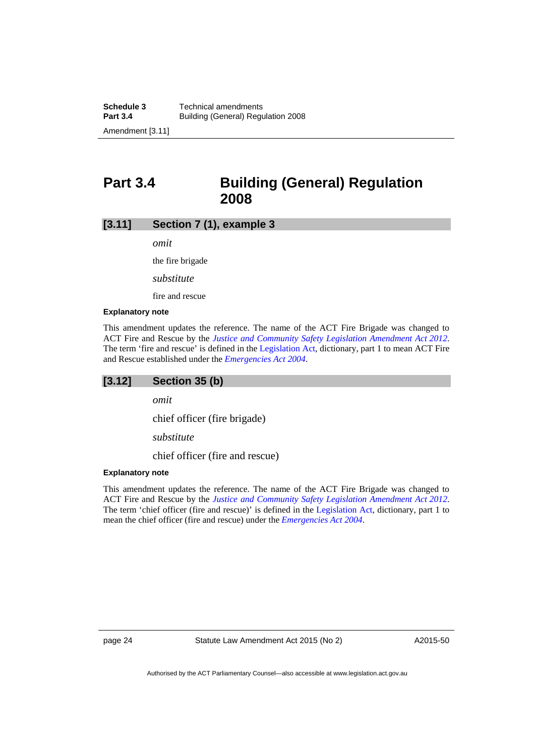# <span id="page-27-0"></span>**Part 3.4 Building (General) Regulation 2008**

#### **[3.11] Section 7 (1), example 3**

*omit* 

the fire brigade

*substitute* 

fire and rescue

### **Explanatory note**

This amendment updates the reference. The name of the ACT Fire Brigade was changed to ACT Fire and Rescue by the *[Justice and Community Safety Legislation Amendment Act 2012](http://www.legislation.act.gov.au/a/2012-13/default.asp)*. The term 'fire and rescue' is defined in the [Legislation Act,](http://www.legislation.act.gov.au/a/2001-14) dictionary, part 1 to mean ACT Fire and Rescue established under the *[Emergencies Act 2004](http://www.legislation.act.gov.au/a/2004-28)*.

# **[3.12] Section 35 (b)**

*omit* 

chief officer (fire brigade)

*substitute* 

chief officer (fire and rescue)

#### **Explanatory note**

This amendment updates the reference. The name of the ACT Fire Brigade was changed to ACT Fire and Rescue by the *[Justice and Community Safety Legislation Amendment Act 2012](http://www.legislation.act.gov.au/a/2012-13/default.asp)*. The term 'chief officer (fire and rescue)' is defined in the [Legislation Act,](http://www.legislation.act.gov.au/a/2001-14) dictionary, part 1 to mean the chief officer (fire and rescue) under the *[Emergencies Act 2004](http://www.legislation.act.gov.au/a/2004-28)*.

page 24 Statute Law Amendment Act 2015 (No 2)

A2015-50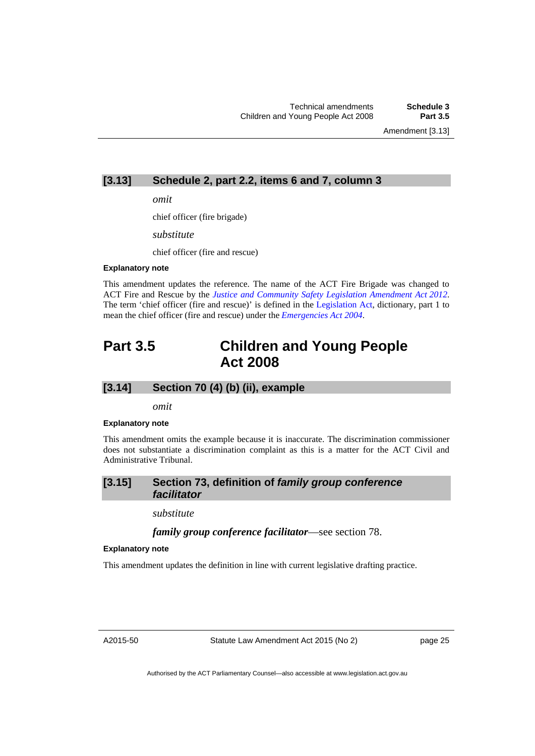Amendment [3.13]

# **[3.13] Schedule 2, part 2.2, items 6 and 7, column 3**

*omit* 

chief officer (fire brigade)

*substitute* 

chief officer (fire and rescue)

#### **Explanatory note**

This amendment updates the reference. The name of the ACT Fire Brigade was changed to ACT Fire and Rescue by the *[Justice and Community Safety Legislation Amendment Act 2012](http://www.legislation.act.gov.au/a/2012-13/default.asp)*. The term 'chief officer (fire and rescue)' is defined in the [Legislation Act,](http://www.legislation.act.gov.au/a/2001-14) dictionary, part 1 to mean the chief officer (fire and rescue) under the *[Emergencies Act 2004](http://www.legislation.act.gov.au/a/2004-28)*.

# <span id="page-28-0"></span>**Part 3.5 Children and Young People Act 2008**

# **[3.14] Section 70 (4) (b) (ii), example**

*omit* 

#### **Explanatory note**

This amendment omits the example because it is inaccurate. The discrimination commissioner does not substantiate a discrimination complaint as this is a matter for the ACT Civil and Administrative Tribunal.

# **[3.15] Section 73, definition of** *family group conference facilitator*

*substitute* 

*family group conference facilitator*—see section 78.

#### **Explanatory note**

This amendment updates the definition in line with current legislative drafting practice.

A2015-50

Statute Law Amendment Act 2015 (No 2)

page 25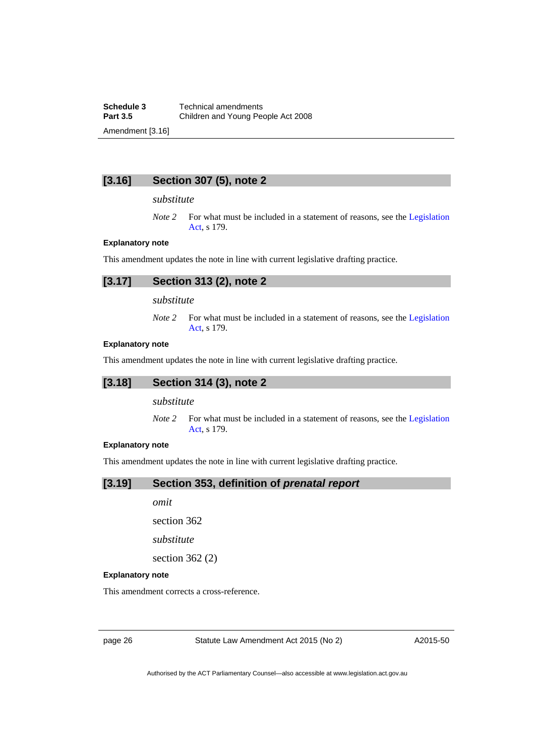**Schedule 3 Technical amendments**<br>**Part 3.5 Children and Young Pec Part 3.5** Children and Young People Act 2008 Amendment [3.16]

# **[3.16] Section 307 (5), note 2**

#### *substitute*

*Note 2* For what must be included in a statement of reasons, see the Legislation [Act](http://www.legislation.act.gov.au/a/2001-14), s 179.

#### **Explanatory note**

This amendment updates the note in line with current legislative drafting practice.

| [3.17] Section 313 (2), note 2 |
|--------------------------------|
|                                |

*substitute* 

*Note* 2 For what must be included in a statement of reasons, see the Legislation [Act](http://www.legislation.act.gov.au/a/2001-14), s 179.

#### **Explanatory note**

This amendment updates the note in line with current legislative drafting practice.

# **[3.18] Section 314 (3), note 2**

*substitute* 

*Note 2* For what must be included in a statement of reasons, see the Legislation [Act](http://www.legislation.act.gov.au/a/2001-14), s 179.

# **Explanatory note**

This amendment updates the note in line with current legislative drafting practice.

# **[3.19] Section 353, definition of** *prenatal report*

*omit* 

section 362

*substitute* 

section 362 (2)

#### **Explanatory note**

This amendment corrects a cross-reference.

page 26 Statute Law Amendment Act 2015 (No 2)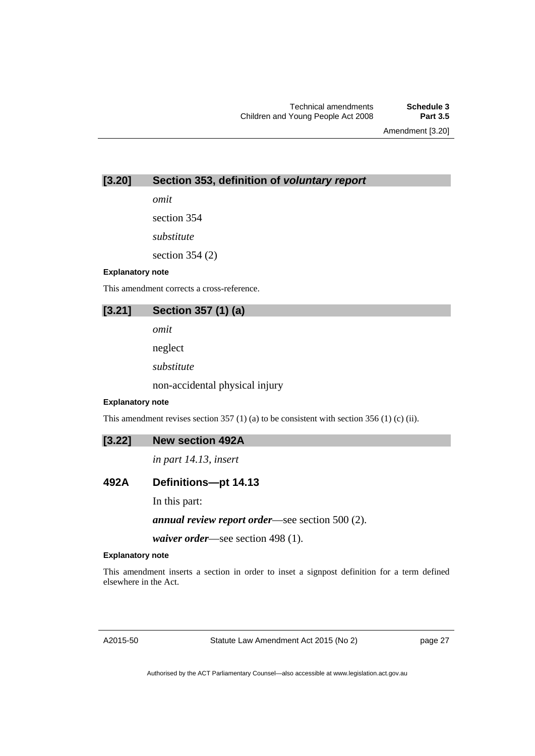Amendment [3.20]

# **[3.20] Section 353, definition of** *voluntary report*

*omit* 

section 354

*substitute* 

section 354 (2)

#### **Explanatory note**

This amendment corrects a cross-reference.

# **[3.21] Section 357 (1) (a)**

*omit* 

neglect

*substitute* 

non-accidental physical injury

#### **Explanatory note**

This amendment revises section 357 (1) (a) to be consistent with section 356 (1) (c) (ii).

### **[3.22] New section 492A**

*in part 14.13, insert* 

# **492A Definitions—pt 14.13**

In this part:

*annual review report order*—see section 500 (2).

*waiver order*—see section 498 (1).

# **Explanatory note**

This amendment inserts a section in order to inset a signpost definition for a term defined elsewhere in the Act.

A2015-50

Statute Law Amendment Act 2015 (No 2)

page 27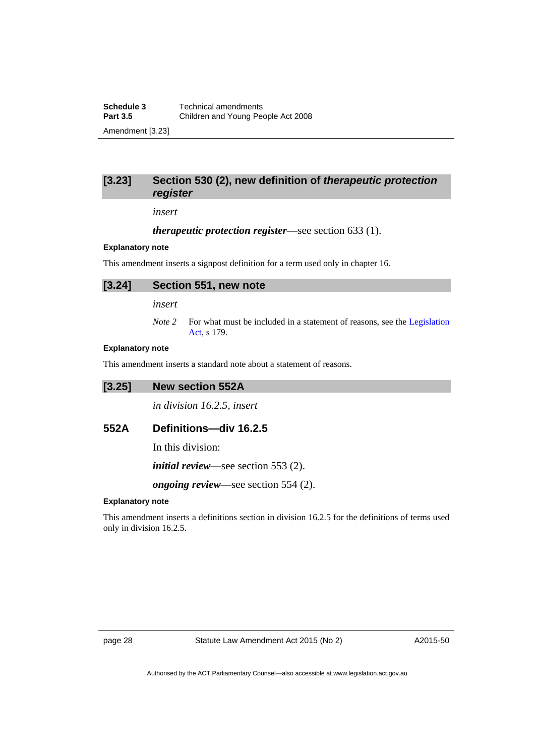# **[3.23] Section 530 (2), new definition of** *therapeutic protection register*

*insert* 

#### *therapeutic protection register*—see section 633 (1).

#### **Explanatory note**

This amendment inserts a signpost definition for a term used only in chapter 16.

# **[3.24] Section 551, new note**

*insert* 

*Note 2* For what must be included in a statement of reasons, see the Legislation [Act](http://www.legislation.act.gov.au/a/2001-14), s 179.

#### **Explanatory note**

This amendment inserts a standard note about a statement of reasons.

#### **[3.25] New section 552A**

*in division 16.2.5, insert* 

# **552A Definitions—div 16.2.5**

In this division:

*initial review*—see section 553 (2).

*ongoing review*—see section 554 (2).

#### **Explanatory note**

This amendment inserts a definitions section in division 16.2.5 for the definitions of terms used only in division 16.2.5.

page 28 Statute Law Amendment Act 2015 (No 2)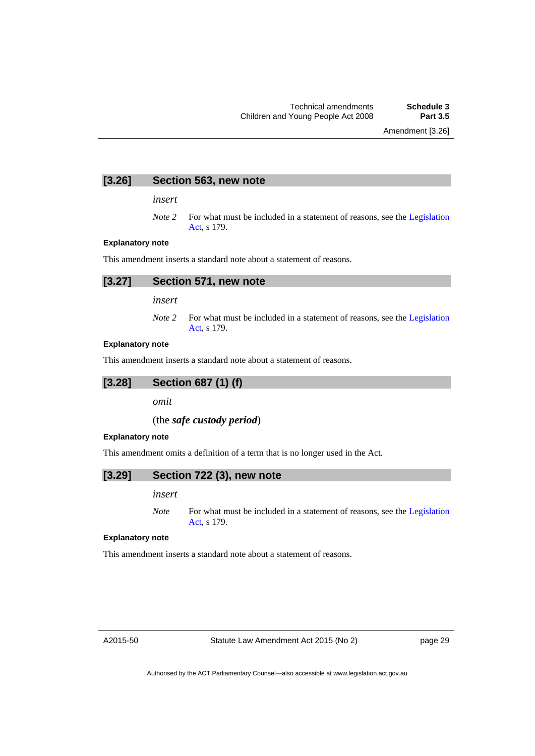Amendment [3.26]

# **[3.26] Section 563, new note**

*insert* 

*Note 2* For what must be included in a statement of reasons, see the Legislation [Act](http://www.legislation.act.gov.au/a/2001-14), s 179.

#### **Explanatory note**

This amendment inserts a standard note about a statement of reasons.

| [3.27] Section 571, new note |
|------------------------------|
|                              |

*insert* 

*Note* 2 For what must be included in a statement of reasons, see the Legislation [Act](http://www.legislation.act.gov.au/a/2001-14), s 179.

#### **Explanatory note**

This amendment inserts a standard note about a statement of reasons.



*omit* 

### (the *safe custody period*)

#### **Explanatory note**

This amendment omits a definition of a term that is no longer used in the Act.

#### **[3.29] Section 722 (3), new note**

#### *insert*

*Note* For what must be included in a statement of reasons, see the Legislation [Act](http://www.legislation.act.gov.au/a/2001-14), s 179.

#### **Explanatory note**

This amendment inserts a standard note about a statement of reasons.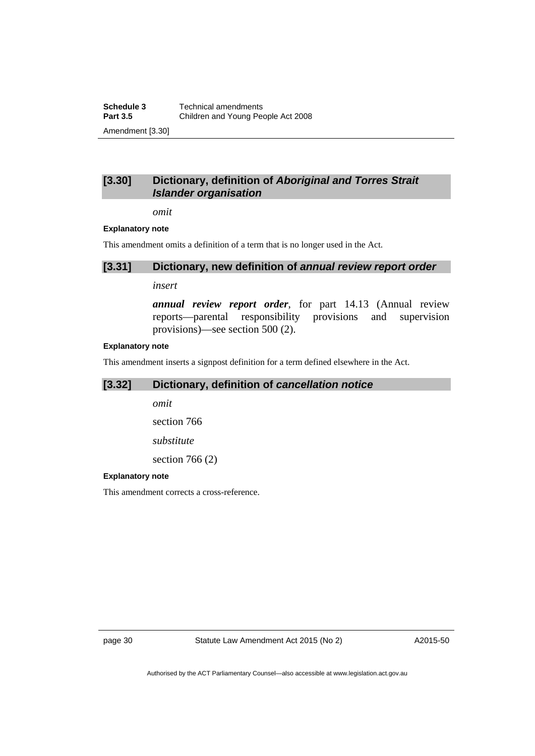**Schedule 3 Technical amendments**<br>**Part 3.5 Children and Young Pec Part 3.5** Children and Young People Act 2008 Amendment [3.30]

# **[3.30] Dictionary, definition of** *Aboriginal and Torres Strait Islander organisation*

*omit* 

#### **Explanatory note**

This amendment omits a definition of a term that is no longer used in the Act.

#### **[3.31] Dictionary, new definition of** *annual review report order*

*insert* 

*annual review report order*, for part 14.13 (Annual review reports—parental responsibility provisions and supervision provisions)—see section 500 (2).

#### **Explanatory note**

This amendment inserts a signpost definition for a term defined elsewhere in the Act.

# **[3.32] Dictionary, definition of** *cancellation notice*

*omit* 

section 766

*substitute* 

section 766 (2)

#### **Explanatory note**

This amendment corrects a cross-reference.

page 30 Statute Law Amendment Act 2015 (No 2)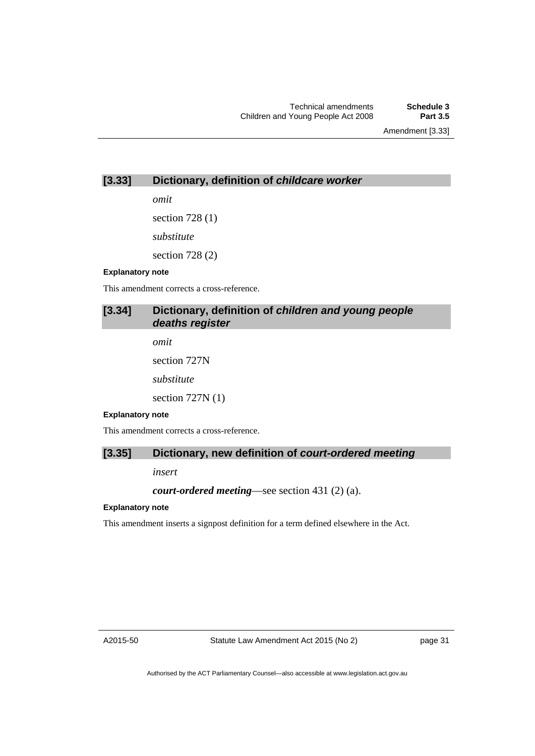Amendment [3.33]

# **[3.33] Dictionary, definition of** *childcare worker*

*omit* 

section 728 (1) *substitute*  section 728 (2)

#### **Explanatory note**

This amendment corrects a cross-reference.

# **[3.34] Dictionary, definition of** *children and young people deaths register*

*omit*  section 727N *substitute*  section 727N (1)

#### **Explanatory note**

This amendment corrects a cross-reference.

# **[3.35] Dictionary, new definition of** *court-ordered meeting*

*insert* 

*court-ordered meeting*—see section 431 (2) (a).

# **Explanatory note**

This amendment inserts a signpost definition for a term defined elsewhere in the Act.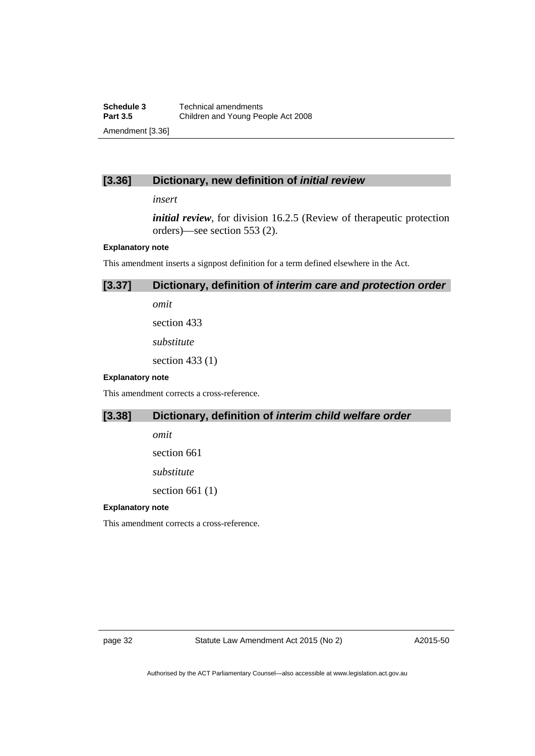# **[3.36] Dictionary, new definition of** *initial review*

#### *insert*

*initial review*, for division 16.2.5 (Review of therapeutic protection orders)—see section 553 (2).

#### **Explanatory note**

This amendment inserts a signpost definition for a term defined elsewhere in the Act.

# **[3.37] Dictionary, definition of** *interim care and protection order*

*omit* 

section 433

*substitute* 

section 433 (1)

# **Explanatory note**

This amendment corrects a cross-reference.

# **[3.38] Dictionary, definition of** *interim child welfare order*

*omit* 

section 661

*substitute* 

section 661 (1)

#### **Explanatory note**

This amendment corrects a cross-reference.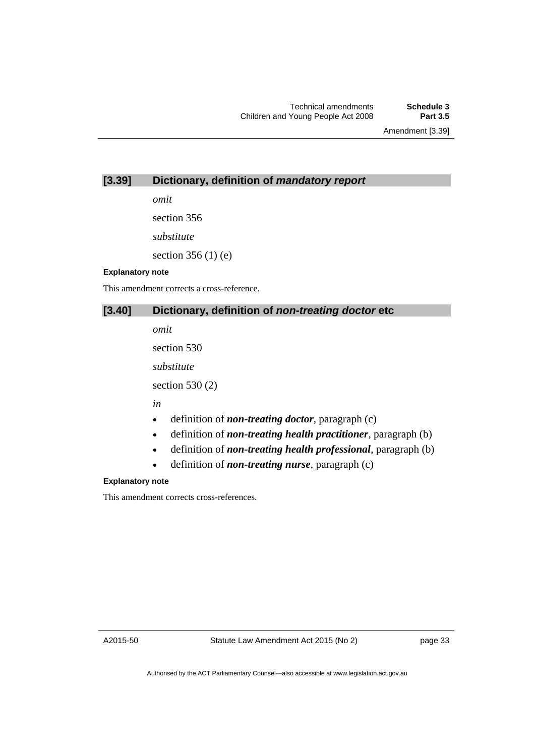Amendment [3.39]

# **[3.39] Dictionary, definition of** *mandatory report*

*omit* 

section 356

*substitute* 

section 356 (1) (e)

### **Explanatory note**

This amendment corrects a cross-reference.

# **[3.40] Dictionary, definition of** *non-treating doctor* **etc**

*omit* 

section 530

*substitute* 

section 530 (2)

*in* 

- definition of *non-treating doctor*, paragraph (c)
- definition of *non-treating health practitioner*, paragraph (b)
- definition of *non-treating health professional*, paragraph (b)
- definition of *non-treating nurse*, paragraph (c)

### **Explanatory note**

This amendment corrects cross-references.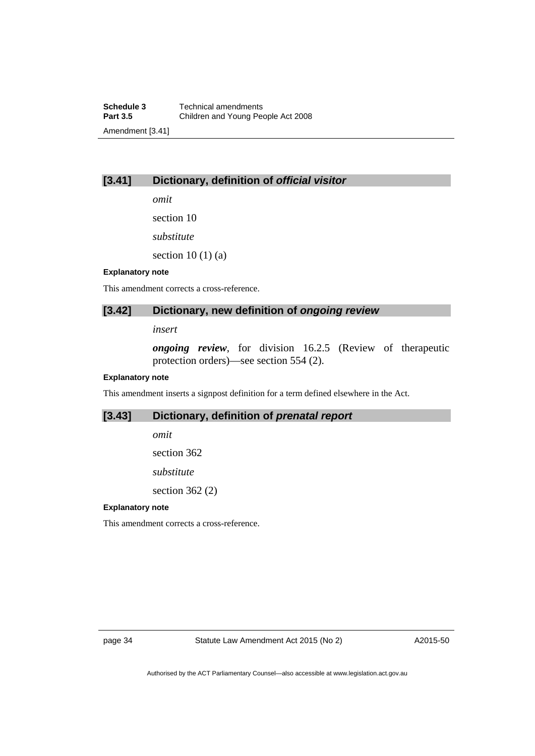# **[3.41] Dictionary, definition of** *official visitor*

*omit* 

section 10

*substitute* 

section  $10(1)(a)$ 

### **Explanatory note**

This amendment corrects a cross-reference.

# **[3.42] Dictionary, new definition of** *ongoing review*

*insert* 

*ongoing review*, for division 16.2.5 (Review of therapeutic protection orders)—see section 554 (2).

### **Explanatory note**

This amendment inserts a signpost definition for a term defined elsewhere in the Act.

## **[3.43] Dictionary, definition of** *prenatal report*

*omit* 

section 362

*substitute* 

section 362 (2)

### **Explanatory note**

This amendment corrects a cross-reference.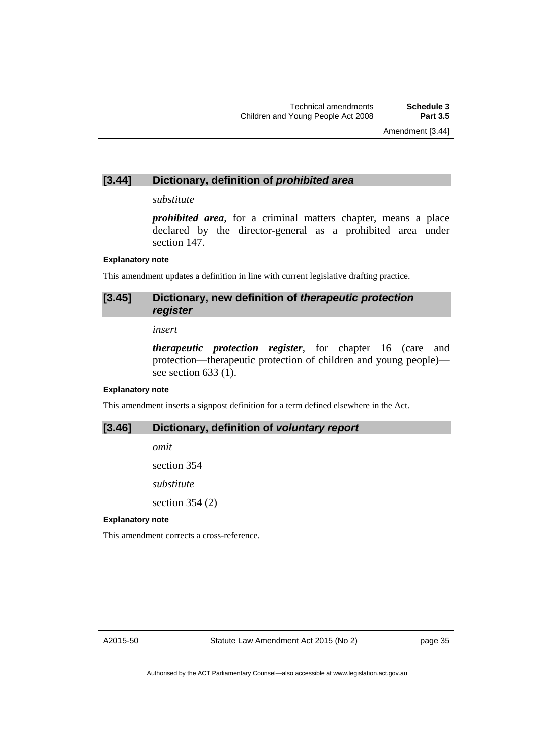## **[3.44] Dictionary, definition of** *prohibited area*

### *substitute*

*prohibited area*, for a criminal matters chapter, means a place declared by the director-general as a prohibited area under section 147.

### **Explanatory note**

This amendment updates a definition in line with current legislative drafting practice.

# **[3.45] Dictionary, new definition of** *therapeutic protection register*

*insert* 

*therapeutic protection register*, for chapter 16 (care and protection—therapeutic protection of children and young people) see section 633 (1).

### **Explanatory note**

This amendment inserts a signpost definition for a term defined elsewhere in the Act.

## **[3.46] Dictionary, definition of** *voluntary report*

*omit* 

section 354

*substitute* 

section 354 (2)

### **Explanatory note**

This amendment corrects a cross-reference.

A2015-50

page 35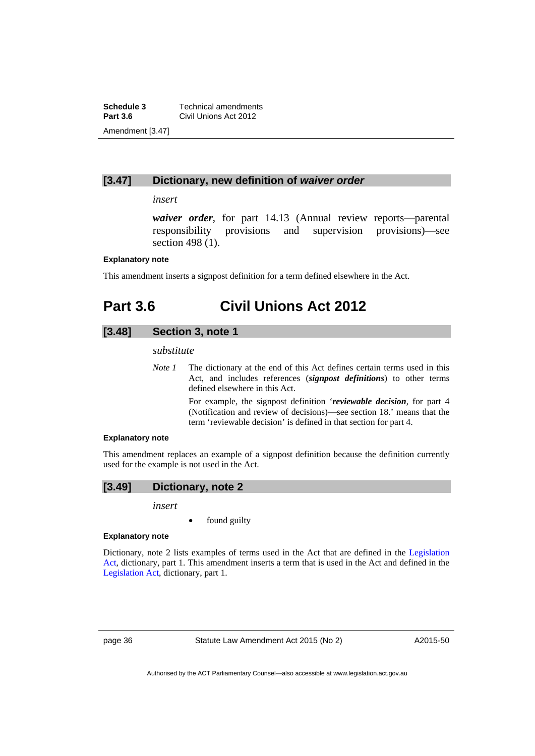**Schedule 3 Technical amendments**<br>**Part 3.6 Civil Unions Act 2012 Civil Unions Act 2012** Amendment [3.47]

## **[3.47] Dictionary, new definition of** *waiver order*

## *insert*

*waiver order*, for part 14.13 (Annual review reports—parental responsibility provisions and supervision provisions)—see section 498 (1).

### **Explanatory note**

This amendment inserts a signpost definition for a term defined elsewhere in the Act.

# **Part 3.6 Civil Unions Act 2012**

# **[3.48] Section 3, note 1**

## *substitute*

*Note 1* The dictionary at the end of this Act defines certain terms used in this Act, and includes references (*signpost definitions*) to other terms defined elsewhere in this Act.

> For example, the signpost definition '*reviewable decision*, for part 4 (Notification and review of decisions)—see section 18.' means that the term 'reviewable decision' is defined in that section for part 4.

### **Explanatory note**

This amendment replaces an example of a signpost definition because the definition currently used for the example is not used in the Act.

# **[3.49] Dictionary, note 2**

### *insert*

found guilty

### **Explanatory note**

Dictionary, note 2 lists examples of terms used in the Act that are defined in the [Legislation](http://www.legislation.act.gov.au/a/2001-14)  [Act,](http://www.legislation.act.gov.au/a/2001-14) dictionary, part 1. This amendment inserts a term that is used in the Act and defined in the [Legislation Act,](http://www.legislation.act.gov.au/a/2001-14) dictionary, part 1.

page 36 Statute Law Amendment Act 2015 (No 2)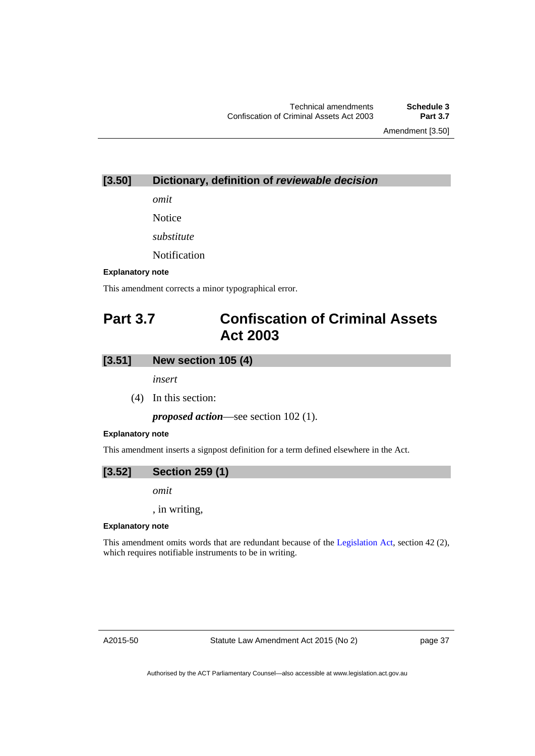Amendment [3.50]

## **[3.50] Dictionary, definition of** *reviewable decision*

*omit* 

Notice

*substitute* 

Notification

### **Explanatory note**

This amendment corrects a minor typographical error.

# **Part 3.7 Confiscation of Criminal Assets Act 2003**

## **[3.51] New section 105 (4)**

*insert* 

(4) In this section:

*proposed action*—see section 102 (1).

### **Explanatory note**

This amendment inserts a signpost definition for a term defined elsewhere in the Act.



*omit* 

, in writing,

### **Explanatory note**

This amendment omits words that are redundant because of the [Legislation Act,](http://www.legislation.act.gov.au/a/2001-14) section 42 (2), which requires notifiable instruments to be in writing.

A2015-50

Statute Law Amendment Act 2015 (No 2)

page 37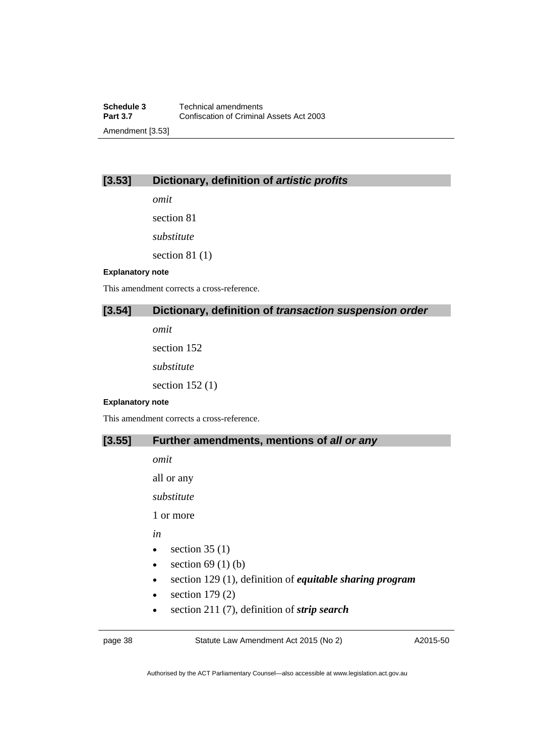## **[3.53] Dictionary, definition of** *artistic profits*

*omit* 

section 81

*substitute* 

section 81 (1)

### **Explanatory note**

This amendment corrects a cross-reference.

# **[3.54] Dictionary, definition of** *transaction suspension order*

*omit* 

section 152

*substitute* 

section 152 (1)

### **Explanatory note**

This amendment corrects a cross-reference.

## **[3.55] Further amendments, mentions of** *all or any*

*omit* 

all or any

*substitute* 

1 or more

*in* 

- $\bullet$  section 35 (1)
- $\bullet$  section 69 (1) (b)
- section 129 (1), definition of *equitable sharing program*
- $\bullet$  section 179 $(2)$
- section 211 (7), definition of *strip search*

page 38 Statute Law Amendment Act 2015 (No 2)

A2015-50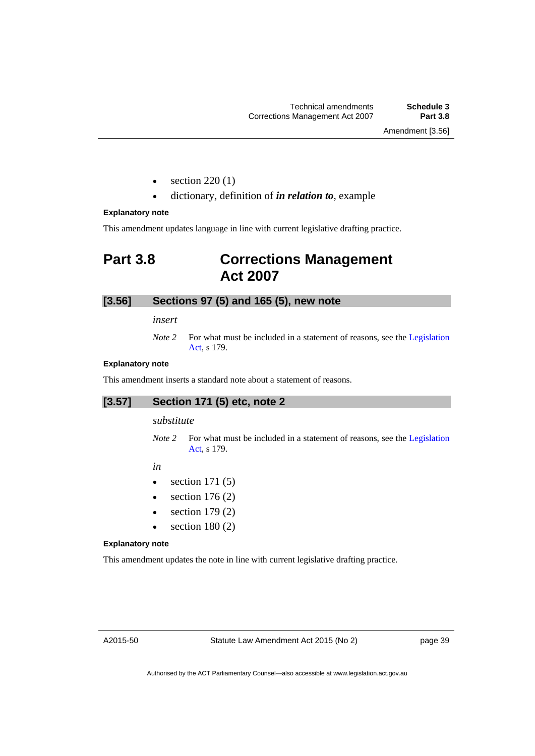Amendment [3.56]

- section 220 (1)
- dictionary, definition of *in relation to*, example

### **Explanatory note**

This amendment updates language in line with current legislative drafting practice.

# **Part 3.8 Corrections Management Act 2007**

## **[3.56] Sections 97 (5) and 165 (5), new note**

*insert* 

*Note 2* For what must be included in a statement of reasons, see the Legislation [Act](http://www.legislation.act.gov.au/a/2001-14), s 179.

### **Explanatory note**

This amendment inserts a standard note about a statement of reasons.

# **[3.57] Section 171 (5) etc, note 2**

### *substitute*

*Note 2* For what must be included in a statement of reasons, see the Legislation [Act](http://www.legislation.act.gov.au/a/2001-14), s 179.

*in* 

- $\bullet$  section 171 (5)
- $\bullet$  section 176 (2)
- $\bullet$  section 179 $(2)$
- $\bullet$  section 180 (2)

### **Explanatory note**

This amendment updates the note in line with current legislative drafting practice.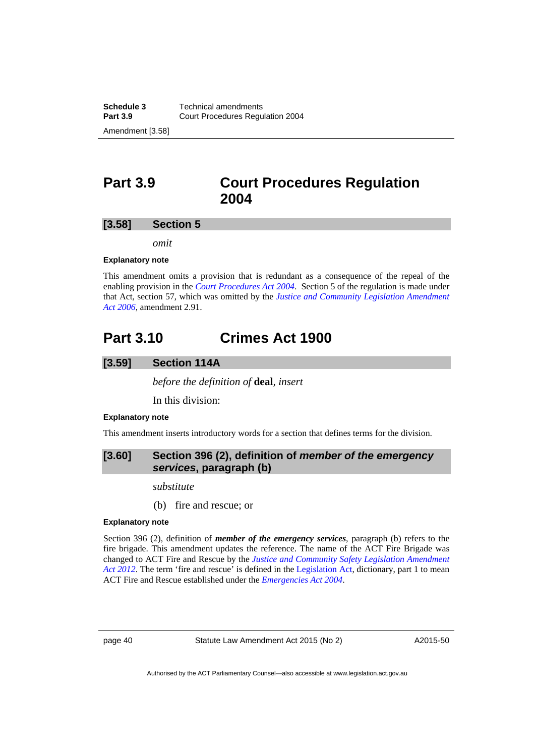# **Part 3.9 Court Procedures Regulation 2004**

### **[3.58] Section 5**

*omit* 

### **Explanatory note**

This amendment omits a provision that is redundant as a consequence of the repeal of the enabling provision in the *[Court Procedures Act 2004](http://www.legislation.act.gov.au/a/2004-59)*. Section 5 of the regulation is made under that Act, section 57, which was omitted by the *[Justice and Community Legislation Amendment](http://www.legislation.act.gov.au/a/2006-40/default.asp)  [Act 2006](http://www.legislation.act.gov.au/a/2006-40/default.asp)*, amendment 2.91.

# **Part 3.10 Crimes Act 1900**

## **[3.59] Section 114A**

*before the definition of* **deal***, insert* 

In this division:

### **Explanatory note**

This amendment inserts introductory words for a section that defines terms for the division.

## **[3.60] Section 396 (2), definition of** *member of the emergency services***, paragraph (b)**

*substitute* 

(b) fire and rescue; or

#### **Explanatory note**

Section 396 (2), definition of *member of the emergency services*, paragraph (b) refers to the fire brigade. This amendment updates the reference. The name of the ACT Fire Brigade was changed to ACT Fire and Rescue by the *[Justice and Community Safety Legislation Amendment](http://www.legislation.act.gov.au/a/2012-13/default.asp)  [Act 2012](http://www.legislation.act.gov.au/a/2012-13/default.asp)*. The term 'fire and rescue' is defined in the [Legislation Act](http://www.legislation.act.gov.au/a/2001-14), dictionary, part 1 to mean ACT Fire and Rescue established under the *[Emergencies Act 2004](http://www.legislation.act.gov.au/a/2004-28)*.

page 40 Statute Law Amendment Act 2015 (No 2)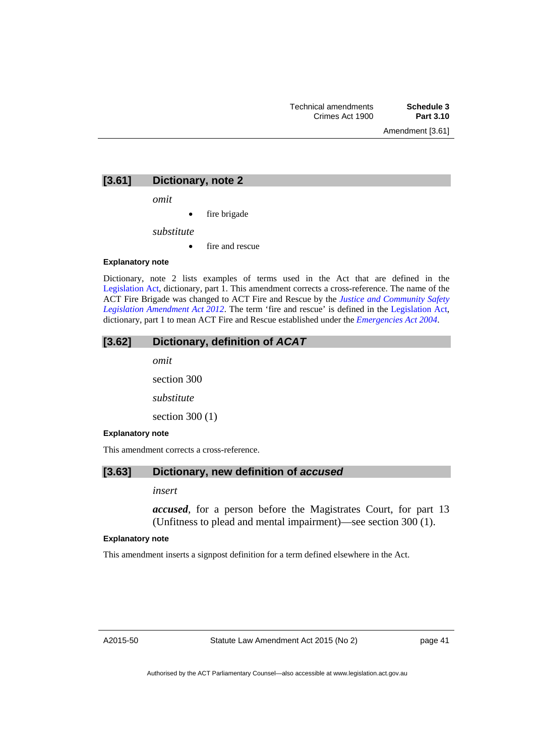### **[3.61] Dictionary, note 2**

*omit* 

fire brigade

*substitute* 

• fire and rescue

### **Explanatory note**

Dictionary, note 2 lists examples of terms used in the Act that are defined in the [Legislation Act,](http://www.legislation.act.gov.au/a/2001-14) dictionary, part 1. This amendment corrects a cross-reference. The name of the ACT Fire Brigade was changed to ACT Fire and Rescue by the *[Justice and Community Safety](http://www.legislation.act.gov.au/a/2012-13/default.asp)  [Legislation Amendment Act 2012](http://www.legislation.act.gov.au/a/2012-13/default.asp)*. The term 'fire and rescue' is defined in the [Legislation Act,](http://www.legislation.act.gov.au/a/2001-14) dictionary, part 1 to mean ACT Fire and Rescue established under the *[Emergencies Act 2004](http://www.legislation.act.gov.au/a/2004-28)*.

## **[3.62] Dictionary, definition of** *ACAT*

*omit*  section 300 *substitute* 

section 300 (1)

### **Explanatory note**

This amendment corrects a cross-reference.

## **[3.63] Dictionary, new definition of** *accused*

### *insert*

*accused*, for a person before the Magistrates Court, for part 13 (Unfitness to plead and mental impairment)—see section 300 (1).

#### **Explanatory note**

This amendment inserts a signpost definition for a term defined elsewhere in the Act.

page 41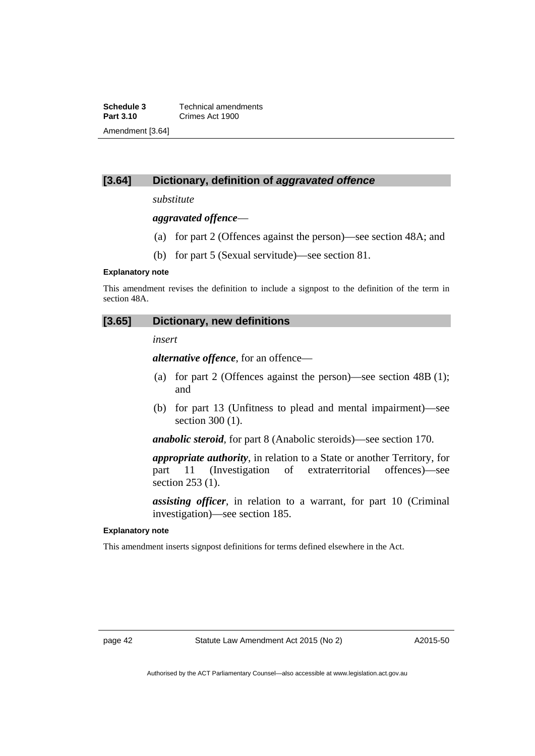**Schedule 3 Technical amendments**<br>**Part 3.10 Crimes Act 1900 Part 3.10** Crimes Act 1900 Amendment [3.64]

# **[3.64] Dictionary, definition of** *aggravated offence*

*substitute* 

*aggravated offence*—

- (a) for part 2 (Offences against the person)—see section 48A; and
- (b) for part 5 (Sexual servitude)—see section 81.

### **Explanatory note**

This amendment revises the definition to include a signpost to the definition of the term in section 48A.

### **[3.65] Dictionary, new definitions**

### *insert*

*alternative offence*, for an offence—

- (a) for part 2 (Offences against the person)—see section 48B (1); and
- (b) for part 13 (Unfitness to plead and mental impairment)—see section 300 (1).

*anabolic steroid*, for part 8 (Anabolic steroids)—see section 170.

*appropriate authority*, in relation to a State or another Territory, for part 11 (Investigation of extraterritorial offences)—see section 253 (1).

*assisting officer*, in relation to a warrant, for part 10 (Criminal investigation)—see section 185.

### **Explanatory note**

This amendment inserts signpost definitions for terms defined elsewhere in the Act.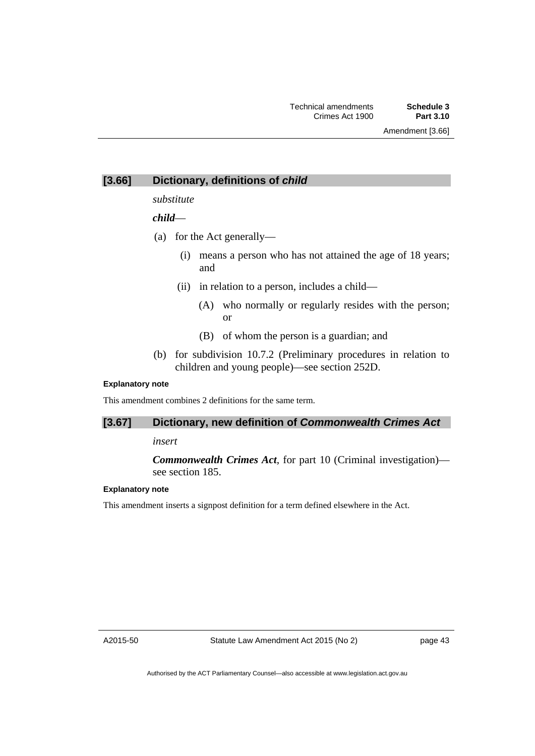## **[3.66] Dictionary, definitions of** *child*

## *substitute*

## *child*—

- (a) for the Act generally—
	- (i) means a person who has not attained the age of 18 years; and
	- (ii) in relation to a person, includes a child—
		- (A) who normally or regularly resides with the person; or
		- (B) of whom the person is a guardian; and
- (b) for subdivision 10.7.2 (Preliminary procedures in relation to children and young people)—see section 252D.

### **Explanatory note**

This amendment combines 2 definitions for the same term.

## **[3.67] Dictionary, new definition of** *Commonwealth Crimes Act*

## *insert*

*Commonwealth Crimes Act*, for part 10 (Criminal investigation) see section 185.

## **Explanatory note**

This amendment inserts a signpost definition for a term defined elsewhere in the Act.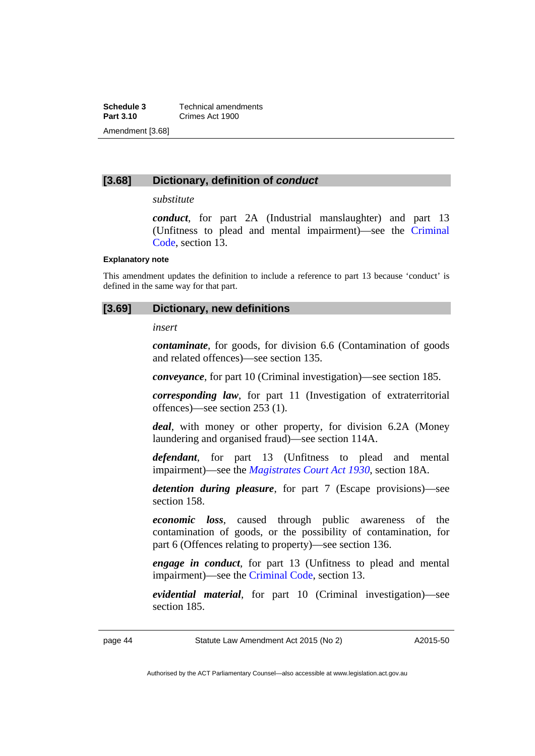**Schedule 3 Technical amendments**<br>**Part 3.10 Crimes Act 1900 Part 3.10** Crimes Act 1900 Amendment [3.68]

## **[3.68] Dictionary, definition of** *conduct*

### *substitute*

*conduct*, for part 2A (Industrial manslaughter) and part 13 (Unfitness to plead and mental impairment)—see the [Criminal](http://www.legislation.act.gov.au/a/2002-51)  [Code](http://www.legislation.act.gov.au/a/2002-51), section 13.

### **Explanatory note**

This amendment updates the definition to include a reference to part 13 because 'conduct' is defined in the same way for that part.

### **[3.69] Dictionary, new definitions**

*insert* 

*contaminate*, for goods, for division 6.6 (Contamination of goods and related offences)—see section 135.

*conveyance*, for part 10 (Criminal investigation)—see section 185.

*corresponding law*, for part 11 (Investigation of extraterritorial offences)—see section 253 (1).

*deal*, with money or other property, for division 6.2A (Money laundering and organised fraud)—see section 114A.

*defendant*, for part 13 (Unfitness to plead and mental impairment)—see the *[Magistrates Court Act 1930](http://www.legislation.act.gov.au/a/1930-21)*, section 18A.

*detention during pleasure*, for part 7 (Escape provisions)—see section 158.

*economic loss*, caused through public awareness of the contamination of goods, or the possibility of contamination, for part 6 (Offences relating to property)—see section 136.

*engage in conduct*, for part 13 (Unfitness to plead and mental impairment)—see the [Criminal Code](http://www.legislation.act.gov.au/a/2002-51), section 13.

*evidential material*, for part 10 (Criminal investigation)—see section 185.

page 44 Statute Law Amendment Act 2015 (No 2)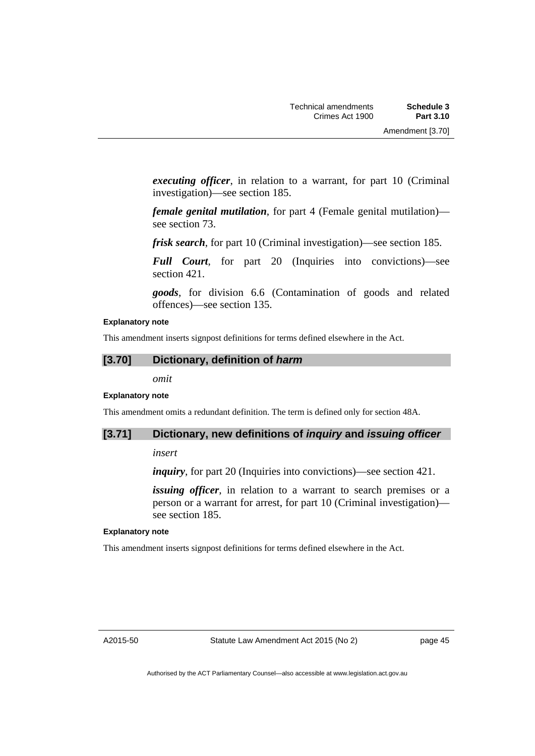*executing officer*, in relation to a warrant, for part 10 (Criminal investigation)—see section 185.

*female genital mutilation*, for part 4 (Female genital mutilation) see section 73.

*frisk search*, for part 10 (Criminal investigation)—see section 185.

*Full Court*, for part 20 (Inquiries into convictions)—see section 421.

*goods*, for division 6.6 (Contamination of goods and related offences)—see section 135.

### **Explanatory note**

This amendment inserts signpost definitions for terms defined elsewhere in the Act.

# **[3.70] Dictionary, definition of** *harm*

*omit* 

### **Explanatory note**

This amendment omits a redundant definition. The term is defined only for section 48A.

### **[3.71] Dictionary, new definitions of** *inquiry* **and** *issuing officer*

*insert* 

*inquiry*, for part 20 (Inquiries into convictions)—see section 421.

*issuing officer*, in relation to a warrant to search premises or a person or a warrant for arrest, for part 10 (Criminal investigation) see section 185.

### **Explanatory note**

This amendment inserts signpost definitions for terms defined elsewhere in the Act.

page 45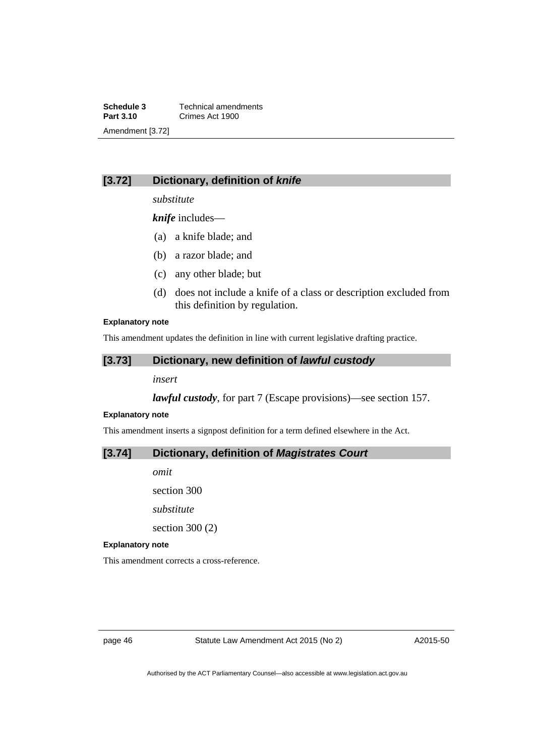**Schedule 3 Technical amendments**<br>**Part 3.10 Crimes Act 1900 Part 3.10** Crimes Act 1900 Amendment [3.72]

# **[3.72] Dictionary, definition of** *knife*

*substitute* 

*knife* includes—

- (a) a knife blade; and
- (b) a razor blade; and
- (c) any other blade; but
- (d) does not include a knife of a class or description excluded from this definition by regulation.

### **Explanatory note**

This amendment updates the definition in line with current legislative drafting practice.

## **[3.73] Dictionary, new definition of** *lawful custody*

*insert* 

*lawful custody*, for part 7 (Escape provisions)—see section 157.

### **Explanatory note**

This amendment inserts a signpost definition for a term defined elsewhere in the Act.

## **[3.74] Dictionary, definition of** *Magistrates Court*

*omit* 

section 300 *substitute*  section 300 (2)

### **Explanatory note**

This amendment corrects a cross-reference.

page 46 Statute Law Amendment Act 2015 (No 2)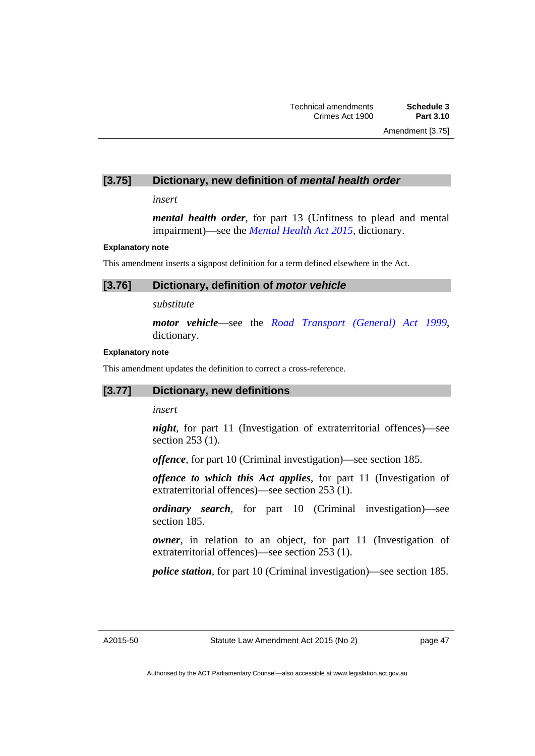## **[3.75] Dictionary, new definition of** *mental health order*

*insert* 

*mental health order*, for part 13 (Unfitness to plead and mental impairment)—see the *[Mental Health Act 2015](http://www.legislation.act.gov.au/a/2015-38/default.asp)*, dictionary.

### **Explanatory note**

This amendment inserts a signpost definition for a term defined elsewhere in the Act.

### **[3.76] Dictionary, definition of** *motor vehicle*

*substitute* 

*motor vehicle*—see the *[Road Transport \(General\) Act 1999](http://www.legislation.act.gov.au/a/1999-77)*, dictionary.

### **Explanatory note**

This amendment updates the definition to correct a cross-reference.

## **[3.77] Dictionary, new definitions**

*insert* 

*night*, for part 11 (Investigation of extraterritorial offences)—see section 253 (1).

*offence*, for part 10 (Criminal investigation)—see section 185.

*offence to which this Act applies*, for part 11 (Investigation of extraterritorial offences)—see section 253 (1).

*ordinary search*, for part 10 (Criminal investigation)—see section 185.

*owner*, in relation to an object, for part 11 (Investigation of extraterritorial offences)—see section 253 (1).

*police station*, for part 10 (Criminal investigation)—see section 185.

A2015-50

page 47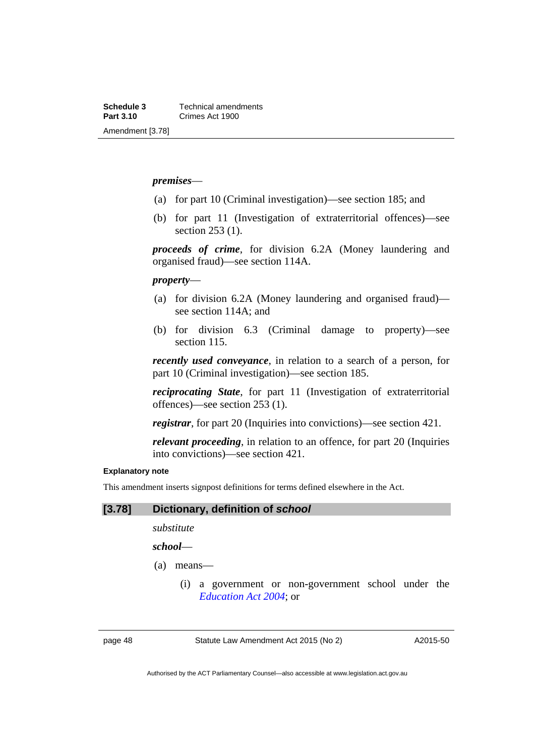## *premises*—

- (a) for part 10 (Criminal investigation)—see section 185; and
- (b) for part 11 (Investigation of extraterritorial offences)—see section 253 (1).

*proceeds of crime*, for division 6.2A (Money laundering and organised fraud)—see section 114A.

## *property*—

- (a) for division 6.2A (Money laundering and organised fraud) see section 114A; and
- (b) for division 6.3 (Criminal damage to property)—see section 115.

*recently used conveyance*, in relation to a search of a person, for part 10 (Criminal investigation)—see section 185.

*reciprocating State*, for part 11 (Investigation of extraterritorial offences)—see section 253 (1).

*registrar*, for part 20 (Inquiries into convictions)—see section 421.

*relevant proceeding*, in relation to an offence, for part 20 (Inquiries into convictions)—see section 421.

### **Explanatory note**

This amendment inserts signpost definitions for terms defined elsewhere in the Act.

### **[3.78] Dictionary, definition of** *school*

*substitute* 

*school*—

- (a) means—
	- (i) a government or non-government school under the *[Education Act 2004](http://www.legislation.act.gov.au/a/2004-17)*; or

page 48 Statute Law Amendment Act 2015 (No 2)

A2015-50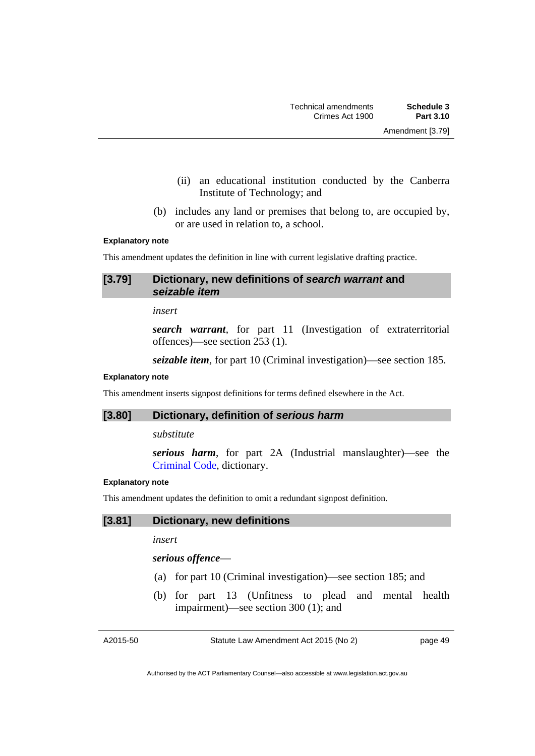- 
- (ii) an educational institution conducted by the Canberra Institute of Technology; and
- (b) includes any land or premises that belong to, are occupied by, or are used in relation to, a school.

### **Explanatory note**

This amendment updates the definition in line with current legislative drafting practice.

## **[3.79] Dictionary, new definitions of** *search warrant* **and**  *seizable item*

*insert* 

*search warrant*, for part 11 (Investigation of extraterritorial offences)—see section 253 (1).

*seizable item*, for part 10 (Criminal investigation)—see section 185.

### **Explanatory note**

This amendment inserts signpost definitions for terms defined elsewhere in the Act.

## **[3.80] Dictionary, definition of** *serious harm*

*substitute* 

*serious harm*, for part 2A (Industrial manslaughter)—see the [Criminal Code](http://www.legislation.act.gov.au/a/2002-51), dictionary.

### **Explanatory note**

This amendment updates the definition to omit a redundant signpost definition.

# **[3.81] Dictionary, new definitions**

*insert* 

## *serious offence*—

- (a) for part 10 (Criminal investigation)—see section 185; and
- (b) for part 13 (Unfitness to plead and mental health impairment)—see section 300 (1); and

A2015-50

Statute Law Amendment Act 2015 (No 2)

page 49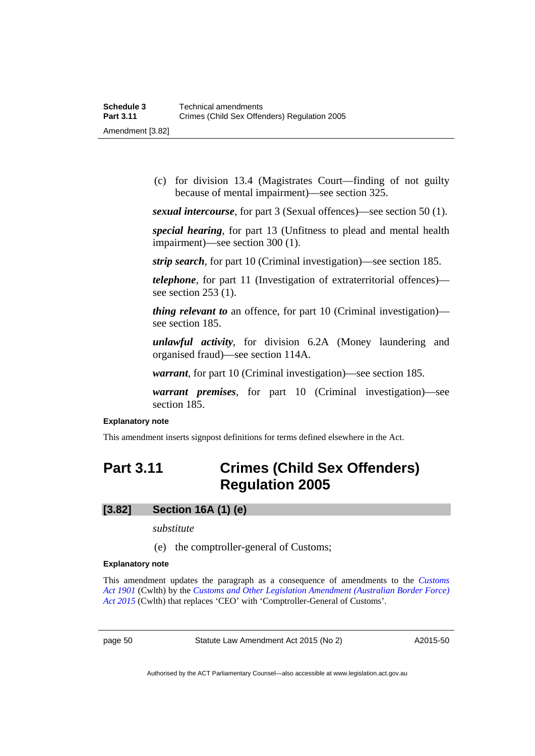(c) for division 13.4 (Magistrates Court—finding of not guilty because of mental impairment)—see section 325.

*sexual intercourse*, for part 3 (Sexual offences)—see section 50 (1).

*special hearing*, for part 13 (Unfitness to plead and mental health impairment)—see section 300 (1).

*strip search*, for part 10 (Criminal investigation)—see section 185.

*telephone*, for part 11 (Investigation of extraterritorial offences) see section 253 (1).

*thing relevant to* an offence, for part 10 (Criminal investigation) see section 185.

*unlawful activity*, for division 6.2A (Money laundering and organised fraud)—see section 114A.

*warrant*, for part 10 (Criminal investigation)—see section 185.

*warrant premises*, for part 10 (Criminal investigation)—see section 185.

### **Explanatory note**

This amendment inserts signpost definitions for terms defined elsewhere in the Act.

# **Part 3.11 Crimes (Child Sex Offenders) Regulation 2005**

# **[3.82] Section 16A (1) (e)**

*substitute* 

(e) the comptroller-general of Customs;

### **Explanatory note**

This amendment updates the paragraph as a consequence of amendments to the *[Customs](https://www.comlaw.gov.au/Details/C2015C00492)  [Act 1901](https://www.comlaw.gov.au/Details/C2015C00492)* (Cwlth) by the *[Customs and Other Legislation Amendment \(Australian Border Force\)](https://www.comlaw.gov.au/Details/C2015A00041)  [Act 2015](https://www.comlaw.gov.au/Details/C2015A00041)* (Cwlth) that replaces 'CEO' with 'Comptroller-General of Customs'.

page 50 Statute Law Amendment Act 2015 (No 2)

A2015-50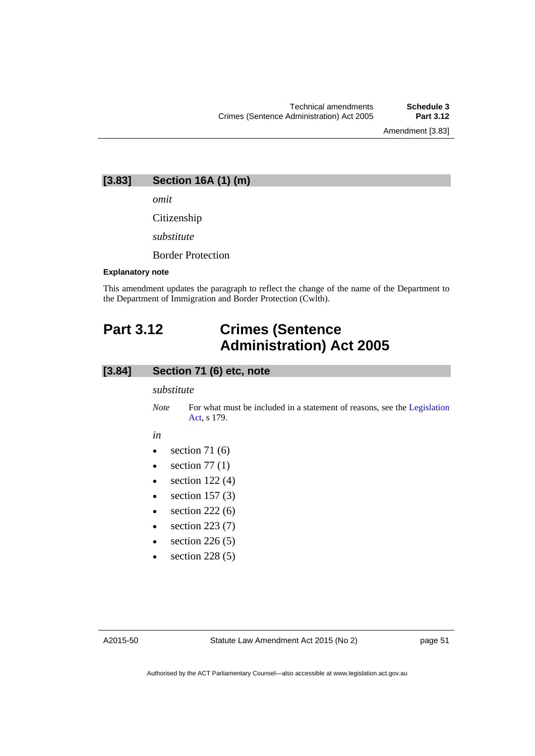## **[3.83] Section 16A (1) (m)**

*omit* 

Citizenship

*substitute* 

Border Protection

### **Explanatory note**

This amendment updates the paragraph to reflect the change of the name of the Department to the Department of Immigration and Border Protection (Cwlth).

# **Part 3.12 Crimes (Sentence Administration) Act 2005**

## **[3.84] Section 71 (6) etc, note**

*substitute* 

*Note* For what must be included in a statement of reasons, see the Legislation [Act](http://www.legislation.act.gov.au/a/2001-14), s 179.

#### *in*

- $\bullet$  section 71 (6)
- $\bullet$  section 77 (1)
- $\bullet$  section 122(4)
- $\bullet$  section 157 (3)
- $\bullet$  section 222 (6)
- $\bullet$  section 223 (7)
- section 226 (5)
- section 228 (5)

A2015-50

page 51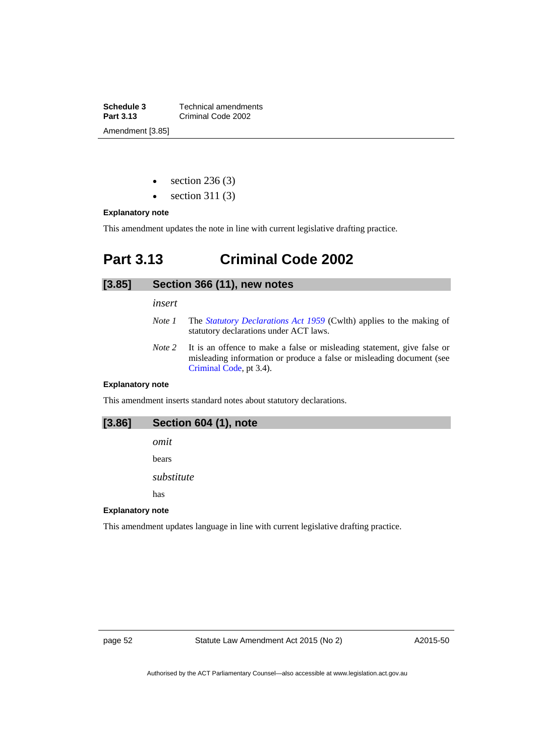**Schedule 3 Technical amendments**<br>**Part 3.13 Criminal Code 2002 Part 3.13** Criminal Code 2002 Amendment [3.85]

- section 236 (3)
- section 311 (3)

### **Explanatory note**

This amendment updates the note in line with current legislative drafting practice.

# **Part 3.13 Criminal Code 2002**

### **[3.85] Section 366 (11), new notes**

*insert* 

- *Note 1* The *[Statutory Declarations Act 1959](http://www.comlaw.gov.au/Series/C2004A07365)* (Cwlth) applies to the making of statutory declarations under ACT laws.
- *Note 2* It is an offence to make a false or misleading statement, give false or misleading information or produce a false or misleading document (see [Criminal Code](http://www.legislation.act.gov.au/a/2002-51), pt 3.4).

### **Explanatory note**

This amendment inserts standard notes about statutory declarations.

# **[3.86] Section 604 (1), note**

*omit*  bears

*substitute* 

has

### **Explanatory note**

This amendment updates language in line with current legislative drafting practice.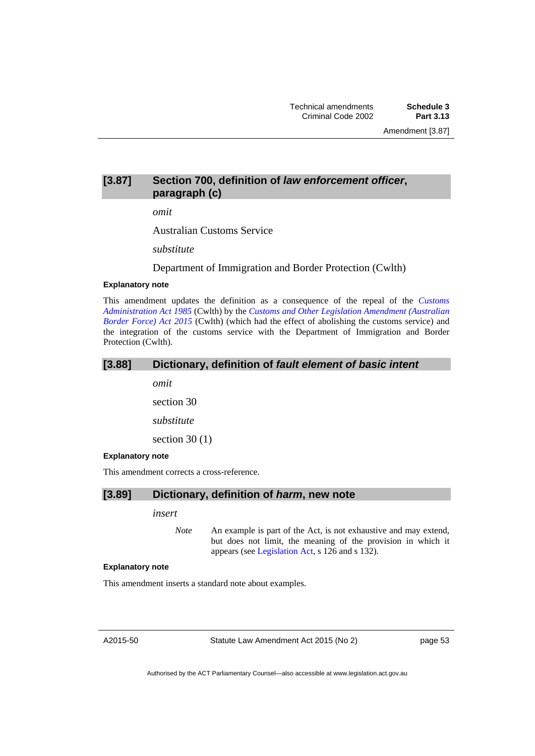# **[3.87] Section 700, definition of** *law enforcement officer***, paragraph (c)**

*omit* 

Australian Customs Service

*substitute* 

Department of Immigration and Border Protection (Cwlth)

### **Explanatory note**

This amendment updates the definition as a consequence of the repeal of the *[Customs](https://www.comlaw.gov.au/Details/C2004A03077)  [Administration Act 1985](https://www.comlaw.gov.au/Details/C2004A03077)* (Cwlth) by the *[Customs and Other Legislation Amendment \(Australian](https://www.comlaw.gov.au/Details/C2015A00041)  [Border Force\) Act 2015](https://www.comlaw.gov.au/Details/C2015A00041)* (Cwlth) (which had the effect of abolishing the customs service) and the integration of the customs service with the Department of Immigration and Border Protection (Cwlth).

*omit* 

section 30

*substitute* 

section 30 $(1)$ 

### **Explanatory note**

This amendment corrects a cross-reference.

### **[3.89] Dictionary, definition of** *harm***, new note**

*insert* 

*Note* An example is part of the Act, is not exhaustive and may extend, but does not limit, the meaning of the provision in which it appears (see [Legislation Act,](http://www.legislation.act.gov.au/a/2001-14) s 126 and s 132).

### **Explanatory note**

This amendment inserts a standard note about examples.

A2015-50

Statute Law Amendment Act 2015 (No 2)

page 53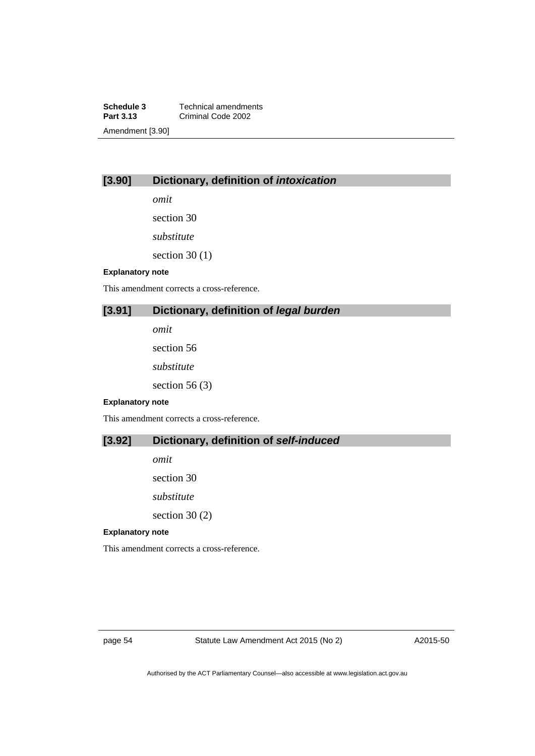**Schedule 3 Technical amendments**<br>**Part 3.13 Criminal Code 2002 Part 3.13** Criminal Code 2002 Amendment [3.90]

# **[3.90] Dictionary, definition of** *intoxication*

*omit* 

section 30

*substitute* 

section  $30(1)$ 

### **Explanatory note**

This amendment corrects a cross-reference.

# **[3.91] Dictionary, definition of** *legal burden*

*omit* 

section 56

*substitute* 

section 56 (3)

### **Explanatory note**

This amendment corrects a cross-reference.

## **[3.92] Dictionary, definition of** *self-induced*

*omit* 

section 30

*substitute* 

section 30 (2)

### **Explanatory note**

This amendment corrects a cross-reference.

page 54 Statute Law Amendment Act 2015 (No 2)

A2015-50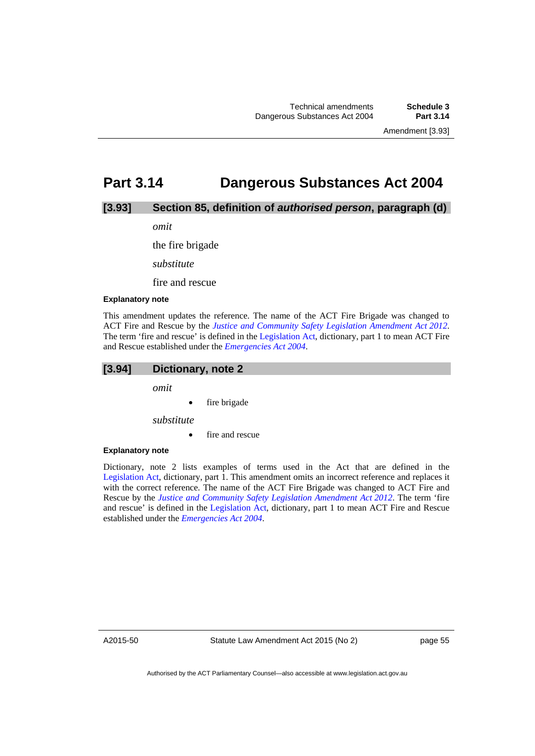# **Part 3.14 Dangerous Substances Act 2004**

## **[3.93] Section 85, definition of** *authorised person***, paragraph (d)**

*omit* 

the fire brigade

*substitute* 

fire and rescue

### **Explanatory note**

This amendment updates the reference. The name of the ACT Fire Brigade was changed to ACT Fire and Rescue by the *[Justice and Community Safety Legislation Amendment Act 2012](http://www.legislation.act.gov.au/a/2012-13/default.asp)*. The term 'fire and rescue' is defined in the [Legislation Act,](http://www.legislation.act.gov.au/a/2001-14) dictionary, part 1 to mean ACT Fire and Rescue established under the *[Emergencies Act 2004](http://www.legislation.act.gov.au/a/2004-28)*.

### **[3.94] Dictionary, note 2**

*omit* 

fire brigade

*substitute* 

fire and rescue

### **Explanatory note**

Dictionary, note 2 lists examples of terms used in the Act that are defined in the [Legislation Act,](http://www.legislation.act.gov.au/a/2001-14) dictionary, part 1. This amendment omits an incorrect reference and replaces it with the correct reference. The name of the ACT Fire Brigade was changed to ACT Fire and Rescue by the *[Justice and Community Safety Legislation Amendment Act 2012](http://www.legislation.act.gov.au/a/2012-13/default.asp)*. The term 'fire and rescue' is defined in the [Legislation Act,](http://www.legislation.act.gov.au/a/2001-14) dictionary, part 1 to mean ACT Fire and Rescue established under the *[Emergencies Act 2004](http://www.legislation.act.gov.au/a/2004-28)*.

A2015-50

page 55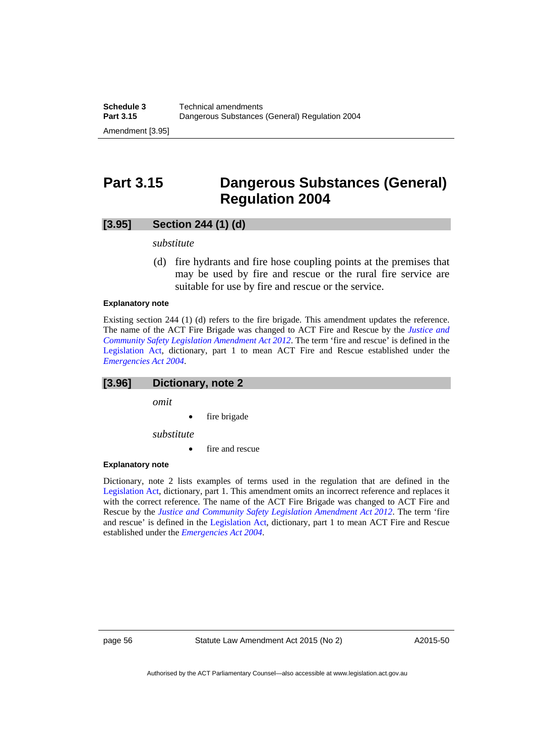# **Part 3.15 Dangerous Substances (General) Regulation 2004**

## **[3.95] Section 244 (1) (d)**

*substitute* 

 (d) fire hydrants and fire hose coupling points at the premises that may be used by fire and rescue or the rural fire service are suitable for use by fire and rescue or the service.

### **Explanatory note**

Existing section 244 (1) (d) refers to the fire brigade. This amendment updates the reference. The name of the ACT Fire Brigade was changed to ACT Fire and Rescue by the *[Justice and](http://www.legislation.act.gov.au/a/2012-13/default.asp)  [Community Safety Legislation Amendment Act 2012](http://www.legislation.act.gov.au/a/2012-13/default.asp)*. The term 'fire and rescue' is defined in the [Legislation Act,](http://www.legislation.act.gov.au/a/2001-14) dictionary, part 1 to mean ACT Fire and Rescue established under the *[Emergencies Act 2004](http://www.legislation.act.gov.au/a/2004-28)*.

### **[3.96] Dictionary, note 2**

*omit* 

fire brigade

*substitute* 

fire and rescue

#### **Explanatory note**

Dictionary, note 2 lists examples of terms used in the regulation that are defined in the [Legislation Act,](http://www.legislation.act.gov.au/a/2001-14) dictionary, part 1. This amendment omits an incorrect reference and replaces it with the correct reference. The name of the ACT Fire Brigade was changed to ACT Fire and Rescue by the *[Justice and Community Safety Legislation Amendment Act 2012](http://www.legislation.act.gov.au/a/2012-13/default.asp)*. The term 'fire and rescue' is defined in the [Legislation Act,](http://www.legislation.act.gov.au/a/2001-14) dictionary, part 1 to mean ACT Fire and Rescue established under the *[Emergencies Act 2004](http://www.legislation.act.gov.au/a/2004-28)*.

page 56 Statute Law Amendment Act 2015 (No 2)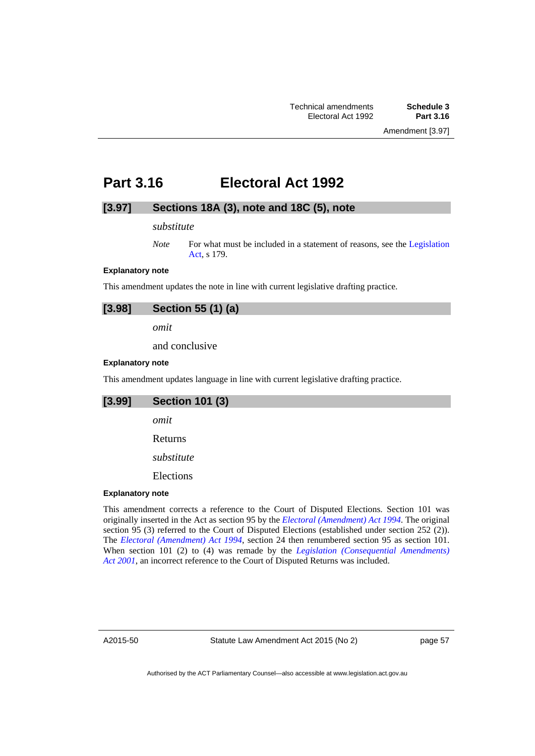Amendment [3.97]

# **Part 3.16 Electoral Act 1992**

# **[3.97] Sections 18A (3), note and 18C (5), note**

### *substitute*

### **Explanatory note**

This amendment updates the note in line with current legislative drafting practice.

| [3.98] | Section 55 (1) (a) |  |  |  |
|--------|--------------------|--|--|--|
|--------|--------------------|--|--|--|

*omit* 

and conclusive

### **Explanatory note**

This amendment updates language in line with current legislative drafting practice.

| [3.99]                  | <b>Section 101 (3)</b> |  |  |
|-------------------------|------------------------|--|--|
|                         | omit                   |  |  |
|                         | Returns                |  |  |
|                         | substitute             |  |  |
|                         | Elections              |  |  |
| <b>Explanatory note</b> |                        |  |  |

This amendment corrects a reference to the Court of Disputed Elections. Section 101 was originally inserted in the Act as section 95 by the *[Electoral \(Amendment\) Act 1994](http://www.legislation.act.gov.au/a/1994-14/default.asp)*. The original section 95 (3) referred to the Court of Disputed Elections (established under section 252 (2)). The *[Electoral \(Amendment\) Act 1994](http://www.legislation.act.gov.au/a/1994-14/default.asp)*, section 24 then renumbered section 95 as section 101. When section 101 (2) to (4) was remade by the *[Legislation \(Consequential Amendments\)](http://www.legislation.act.gov.au/a/2001-44/default.asp)  [Act 2001](http://www.legislation.act.gov.au/a/2001-44/default.asp)*, an incorrect reference to the Court of Disputed Returns was included.

A2015-50

Statute Law Amendment Act 2015 (No 2)

page 57

*Note* For what must be included in a statement of reasons, see the Legislation [Act](http://www.legislation.act.gov.au/a/2001-14), s 179.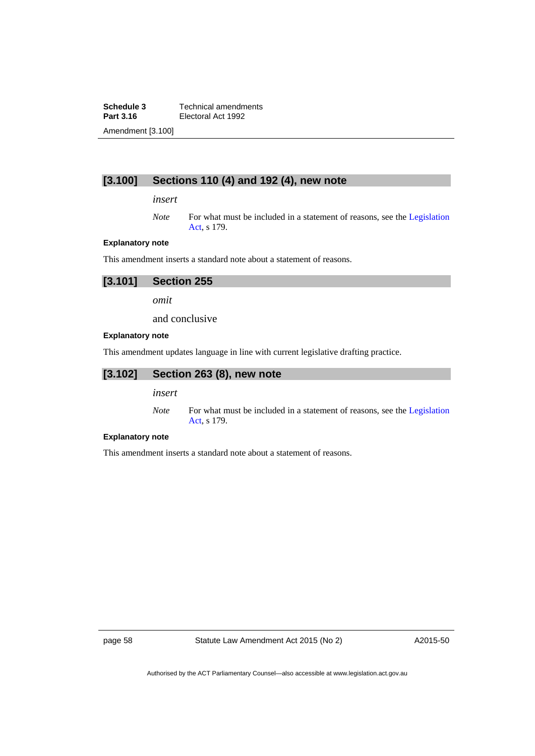**Schedule 3 Technical amendments**<br>**Part 3.16 Electoral Act 1992 Electoral Act 1992** Amendment [3.100]

# **[3.100] Sections 110 (4) and 192 (4), new note**

*insert* 

*Note* For what must be included in a statement of reasons, see the Legislation [Act](http://www.legislation.act.gov.au/a/2001-14), s 179.

### **Explanatory note**

This amendment inserts a standard note about a statement of reasons.

| [3.101] | Section 255 |  |
|---------|-------------|--|
|         |             |  |

*omit* 

and conclusive

### **Explanatory note**

This amendment updates language in line with current legislative drafting practice.

# **[3.102] Section 263 (8), new note**

*insert* 

*Note* For what must be included in a statement of reasons, see the Legislation [Act](http://www.legislation.act.gov.au/a/2001-14), s 179.

### **Explanatory note**

This amendment inserts a standard note about a statement of reasons.

page 58 Statute Law Amendment Act 2015 (No 2)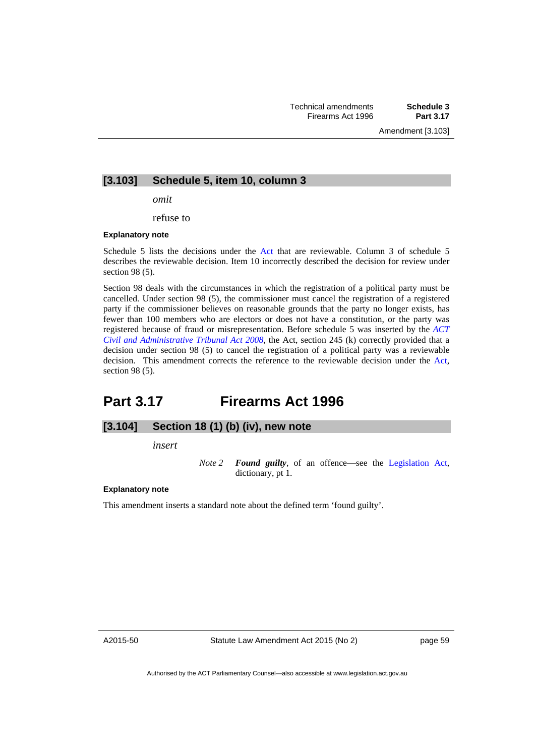Amendment [3.103]

## **[3.103] Schedule 5, item 10, column 3**

*omit* 

refuse to

#### **Explanatory note**

Schedule 5 lists the decisions under the [Act](http://www.legislation.act.gov.au/a/1992-71/default.asp) that are reviewable. Column 3 of schedule 5 describes the reviewable decision. Item 10 incorrectly described the decision for review under section 98 (5).

Section 98 deals with the circumstances in which the registration of a political party must be cancelled. Under section 98 (5), the commissioner must cancel the registration of a registered party if the commissioner believes on reasonable grounds that the party no longer exists, has fewer than 100 members who are electors or does not have a constitution, or the party was registered because of fraud or misrepresentation. Before schedule 5 was inserted by the *[ACT](http://www.legislation.act.gov.au/a/2008-35)  [Civil and Administrative Tribunal Act 2008](http://www.legislation.act.gov.au/a/2008-35)*, the Act, section 245 (k) correctly provided that a decision under section 98 (5) to cancel the registration of a political party was a reviewable decision. This amendment corrects the reference to the reviewable decision under the [Act,](http://www.legislation.act.gov.au/a/1992-71/default.asp) section 98 (5).

# **Part 3.17 Firearms Act 1996**

## **[3.104] Section 18 (1) (b) (iv), new note**

*insert* 

*Note 2 Found guilty*, of an offence—see the [Legislation Act,](http://www.legislation.act.gov.au/a/2001-14) dictionary, pt 1.

**Explanatory note** 

This amendment inserts a standard note about the defined term 'found guilty'.

A2015-50

page 59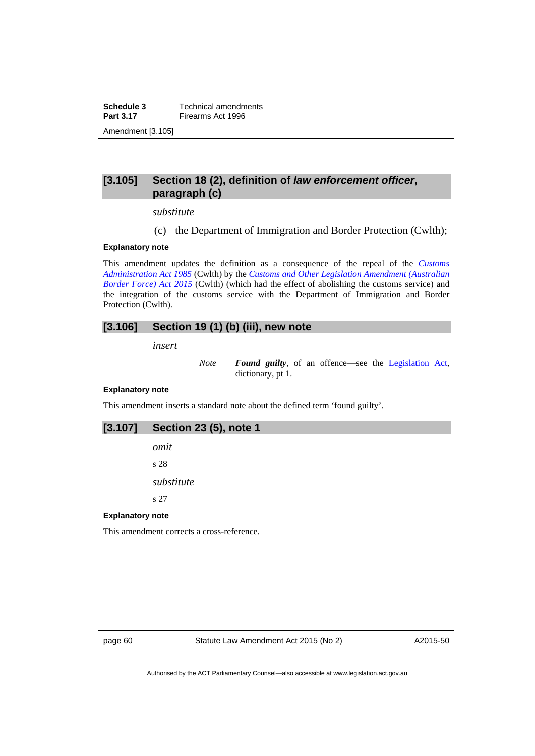**Schedule 3 Technical amendments**<br>**Part 3.17 Firearms Act 1996 Firearms Act 1996** Amendment [3.105]

## **[3.105] Section 18 (2), definition of** *law enforcement officer***, paragraph (c)**

*substitute* 

(c) the Department of Immigration and Border Protection (Cwlth);

### **Explanatory note**

This amendment updates the definition as a consequence of the repeal of the *[Customs](https://www.comlaw.gov.au/Details/C2004A03077)  [Administration Act 1985](https://www.comlaw.gov.au/Details/C2004A03077)* (Cwlth) by the *[Customs and Other Legislation Amendment \(Australian](https://www.comlaw.gov.au/Details/C2015A00041)  [Border Force\) Act 2015](https://www.comlaw.gov.au/Details/C2015A00041)* (Cwlth) (which had the effect of abolishing the customs service) and the integration of the customs service with the Department of Immigration and Border Protection (Cwlth).

## **[3.106] Section 19 (1) (b) (iii), new note**

*insert* 

*Note Found guilty*, of an offence—see the [Legislation Act,](http://www.legislation.act.gov.au/a/2001-14) dictionary, pt 1.

### **Explanatory note**

This amendment inserts a standard note about the defined term 'found guilty'.

## **[3.107] Section 23 (5), note 1**

*omit* 

s 28

*substitute* 

s 27

### **Explanatory note**

This amendment corrects a cross-reference.

page 60 Statute Law Amendment Act 2015 (No 2)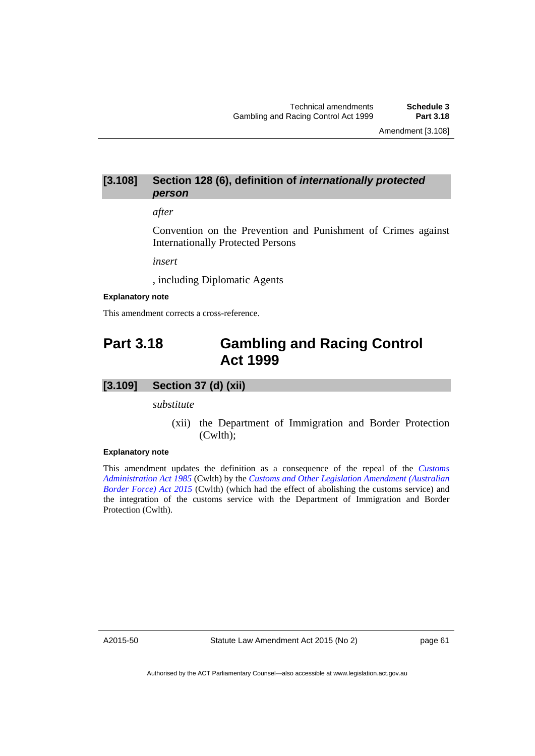## **[3.108] Section 128 (6), definition of** *internationally protected person*

### *after*

Convention on the Prevention and Punishment of Crimes against Internationally Protected Persons

*insert* 

, including Diplomatic Agents

### **Explanatory note**

This amendment corrects a cross-reference.

# **Part 3.18 Gambling and Racing Control Act 1999**

### **[3.109] Section 37 (d) (xii)**

*substitute* 

 (xii) the Department of Immigration and Border Protection (Cwlth);

### **Explanatory note**

This amendment updates the definition as a consequence of the repeal of the *[Customs](https://www.comlaw.gov.au/Details/C2004A03077)  [Administration Act 1985](https://www.comlaw.gov.au/Details/C2004A03077)* (Cwlth) by the *[Customs and Other Legislation Amendment \(Australian](https://www.comlaw.gov.au/Details/C2015A00041)  [Border Force\) Act 2015](https://www.comlaw.gov.au/Details/C2015A00041)* (Cwlth) (which had the effect of abolishing the customs service) and the integration of the customs service with the Department of Immigration and Border Protection (Cwlth).

A2015-50

Statute Law Amendment Act 2015 (No 2)

page 61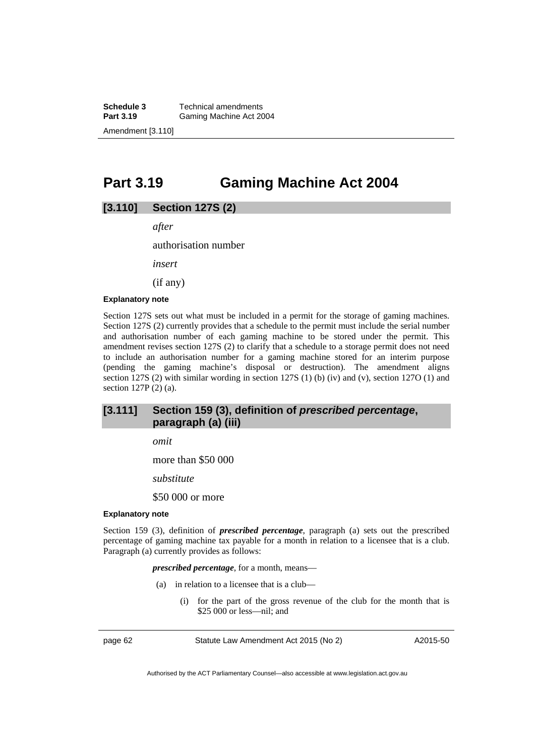**Schedule 3 Technical amendments**<br>**Part 3.19 Gaming Machine Act 20 Gaming Machine Act 2004** Amendment [3.110]

# **Part 3.19 Gaming Machine Act 2004**

## **[3.110] Section 127S (2)**

*after* 

authorisation number

*insert* 

(if any)

### **Explanatory note**

Section 127S sets out what must be included in a permit for the storage of gaming machines. Section 127S (2) currently provides that a schedule to the permit must include the serial number and authorisation number of each gaming machine to be stored under the permit. This amendment revises section 127S (2) to clarify that a schedule to a storage permit does not need to include an authorisation number for a gaming machine stored for an interim purpose (pending the gaming machine's disposal or destruction). The amendment aligns section 127S (2) with similar wording in section 127S (1) (b) (iv) and (v), section 127O (1) and section 127P (2) (a).

# **[3.111] Section 159 (3), definition of** *prescribed percentage***, paragraph (a) (iii)**

*omit* 

more than \$50 000

*substitute* 

\$50 000 or more

#### **Explanatory note**

Section 159 (3), definition of *prescribed percentage*, paragraph (a) sets out the prescribed percentage of gaming machine tax payable for a month in relation to a licensee that is a club. Paragraph (a) currently provides as follows:

### *prescribed percentage*, for a month, means—

- (a) in relation to a licensee that is a club—
	- (i) for the part of the gross revenue of the club for the month that is \$25 000 or less—nil; and

page 62 Statute Law Amendment Act 2015 (No 2)

A2015-50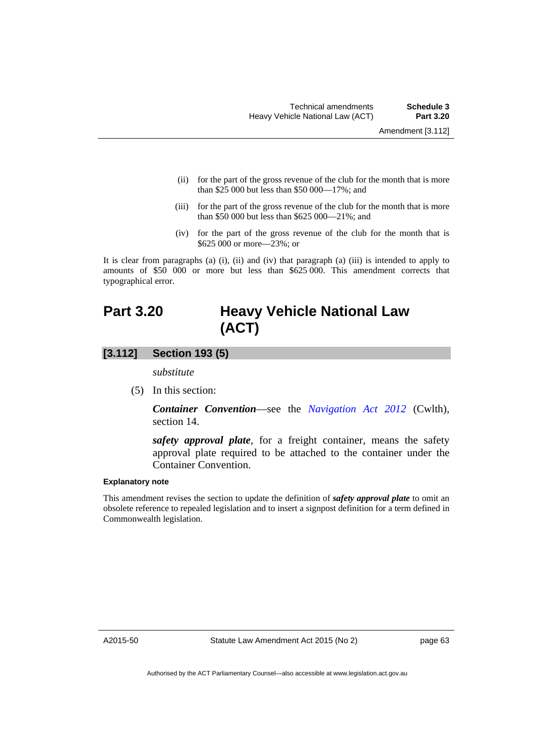- (ii) for the part of the gross revenue of the club for the month that is more than \$25 000 but less than \$50 000—17%; and
- (iii) for the part of the gross revenue of the club for the month that is more than \$50 000 but less than \$625 000—21%; and
- (iv) for the part of the gross revenue of the club for the month that is \$625 000 or more—23%; or

It is clear from paragraphs (a) (i), (ii) and (iv) that paragraph (a) (iii) is intended to apply to amounts of \$50 000 or more but less than \$625 000. This amendment corrects that typographical error.

# **Part 3.20 Heavy Vehicle National Law (ACT)**

## **[3.112] Section 193 (5)**

*substitute* 

(5) In this section:

*Container Convention*—see the *[Navigation Act 2012](https://www.comlaw.gov.au/Details/C2015C00380)* (Cwlth), section 14.

*safety approval plate*, for a freight container, means the safety approval plate required to be attached to the container under the Container Convention.

## **Explanatory note**

This amendment revises the section to update the definition of *safety approval plate* to omit an obsolete reference to repealed legislation and to insert a signpost definition for a term defined in Commonwealth legislation.

A2015-50

page 63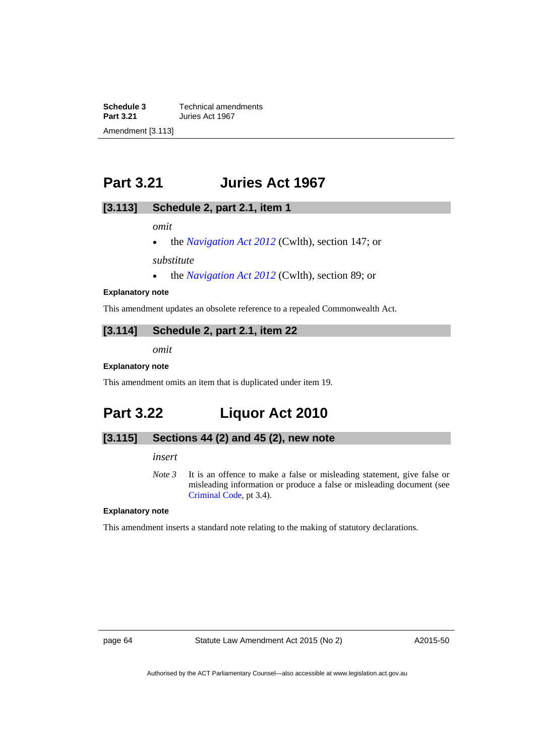**Schedule 3 Technical amendments**<br>**Part 3.21 Juries Act 1967 Part 3.21** Juries Act 1967 Amendment [3.113]

# **Part 3.21 Juries Act 1967**

## **[3.113] Schedule 2, part 2.1, item 1**

*omit* 

• the *[Navigation Act 2012](https://www.comlaw.gov.au/Details/C2015C00380)* (Cwlth), section 147; or

*substitute*

• the *[Navigation Act 2012](https://www.comlaw.gov.au/Details/C2015C00380)* (Cwlth), section 89; or

### **Explanatory note**

This amendment updates an obsolete reference to a repealed Commonwealth Act.

# **[3.114] Schedule 2, part 2.1, item 22**

*omit* 

### **Explanatory note**

This amendment omits an item that is duplicated under item 19.

# **Part 3.22 Liquor Act 2010**

# **[3.115] Sections 44 (2) and 45 (2), new note**

### *insert*

*Note 3* It is an offence to make a false or misleading statement, give false or misleading information or produce a false or misleading document (see [Criminal Code](http://www.legislation.act.gov.au/a/2002-51), pt 3.4).

### **Explanatory note**

This amendment inserts a standard note relating to the making of statutory declarations.

page 64 Statute Law Amendment Act 2015 (No 2)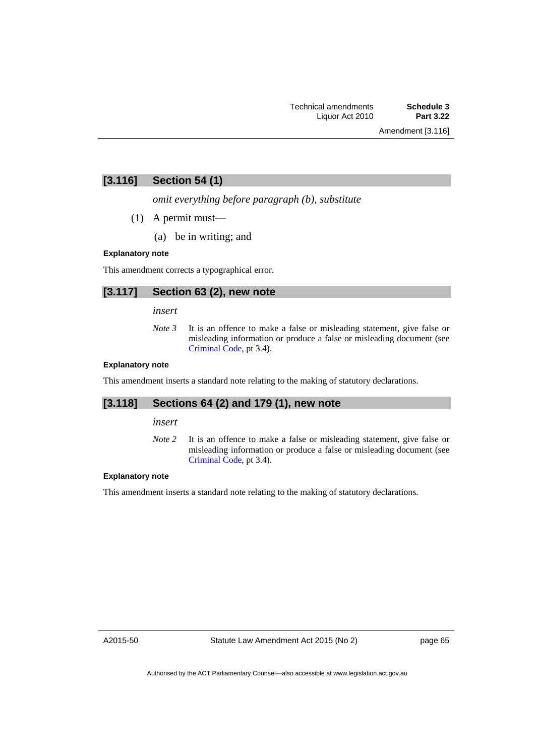# **[3.116] Section 54 (1)**

*omit everything before paragraph (b), substitute* 

- (1) A permit must—
	- (a) be in writing; and

### **Explanatory note**

This amendment corrects a typographical error.

## **[3.117] Section 63 (2), new note**

*insert* 

*Note 3* It is an offence to make a false or misleading statement, give false or misleading information or produce a false or misleading document (see [Criminal Code](http://www.legislation.act.gov.au/a/2002-51), pt 3.4).

### **Explanatory note**

This amendment inserts a standard note relating to the making of statutory declarations.

## **[3.118] Sections 64 (2) and 179 (1), new note**

*insert* 

*Note* 2 It is an offence to make a false or misleading statement, give false or misleading information or produce a false or misleading document (see [Criminal Code](http://www.legislation.act.gov.au/a/2002-51), pt 3.4).

## **Explanatory note**

This amendment inserts a standard note relating to the making of statutory declarations.

A2015-50

page 65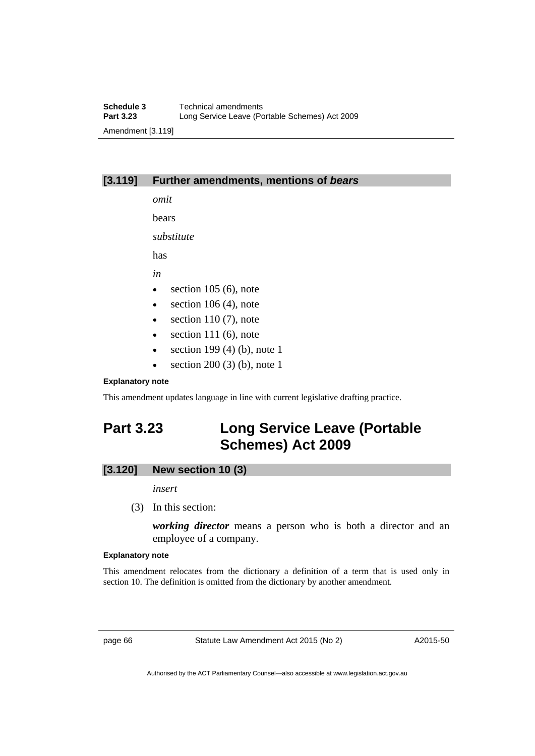# **[3.119] Further amendments, mentions of** *bears*

*omit*  bears

*substitute* 

has

*in* 

- $\bullet$  section 105 (6), note
- $\bullet$  section 106 (4), note
- $\bullet$  section 110 (7), note
- $\bullet$  section 111 (6), note
- $\bullet$  section 199 (4) (b), note 1
- section 200 (3) (b), note 1

## **Explanatory note**

This amendment updates language in line with current legislative drafting practice.

# **Part 3.23 Long Service Leave (Portable Schemes) Act 2009**

# **[3.120] New section 10 (3)**

*insert* 

(3) In this section:

*working director* means a person who is both a director and an employee of a company.

## **Explanatory note**

This amendment relocates from the dictionary a definition of a term that is used only in section 10. The definition is omitted from the dictionary by another amendment.

page 66 Statute Law Amendment Act 2015 (No 2)

A2015-50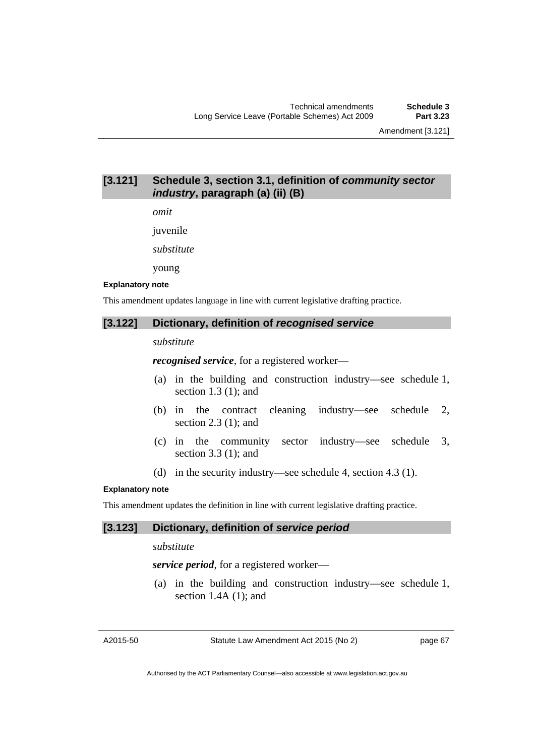# **[3.121] Schedule 3, section 3.1, definition of** *community sector industry***, paragraph (a) (ii) (B)**

*omit* 

juvenile

*substitute* 

young

#### **Explanatory note**

This amendment updates language in line with current legislative drafting practice.

### **[3.122] Dictionary, definition of** *recognised service*

## *substitute*

*recognised service*, for a registered worker—

- (a) in the building and construction industry—see schedule 1, section 1.3 (1); and
- (b) in the contract cleaning industry—see schedule 2, section 2.3 (1); and
- (c) in the community sector industry—see schedule 3, section 3.3 (1); and
- (d) in the security industry—see schedule 4, section 4.3 (1).

### **Explanatory note**

This amendment updates the definition in line with current legislative drafting practice.

### **[3.123] Dictionary, definition of** *service period*

### *substitute*

*service period*, for a registered worker—

 (a) in the building and construction industry—see schedule 1, section  $1.4A(1)$ ; and

A2015-50

Statute Law Amendment Act 2015 (No 2)

page 67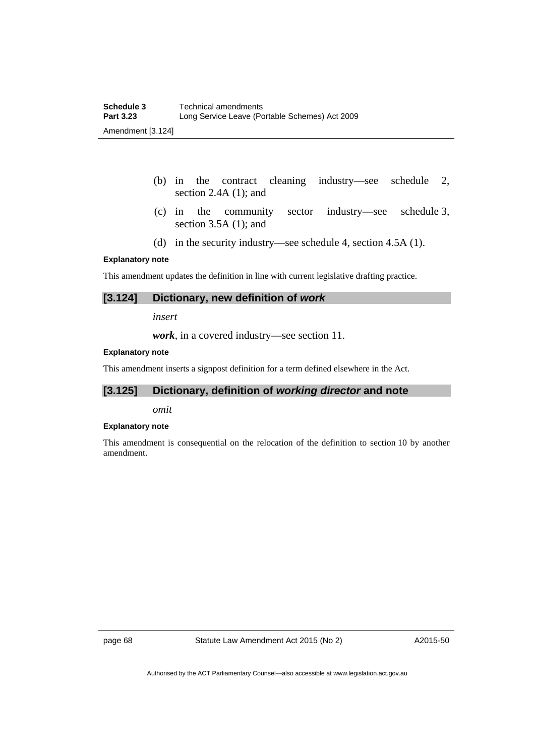- (b) in the contract cleaning industry—see schedule 2, section 2.4A (1); and
- (c) in the community sector industry—see schedule 3, section 3.5A (1); and
- (d) in the security industry—see schedule 4, section 4.5A (1).

### **Explanatory note**

This amendment updates the definition in line with current legislative drafting practice.

### **[3.124] Dictionary, new definition of** *work*

*insert* 

*work*, in a covered industry—see section 11.

### **Explanatory note**

This amendment inserts a signpost definition for a term defined elsewhere in the Act.

# **[3.125] Dictionary, definition of** *working director* **and note**

*omit* 

### **Explanatory note**

This amendment is consequential on the relocation of the definition to section 10 by another amendment.

page 68 Statute Law Amendment Act 2015 (No 2)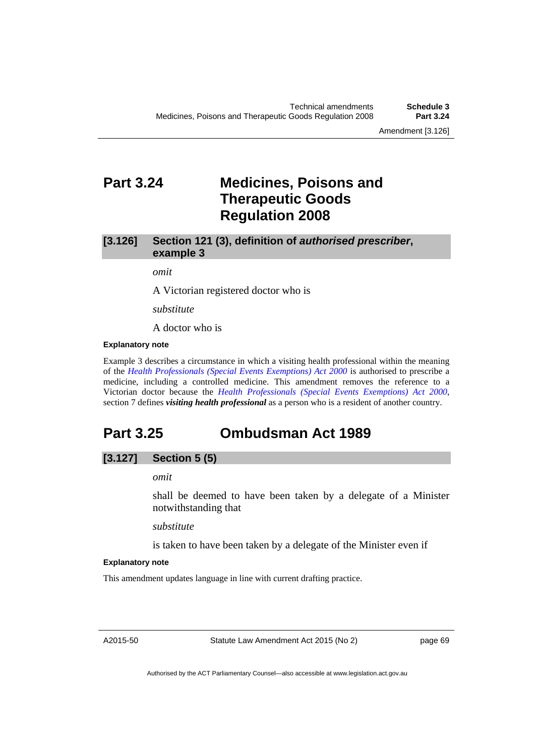# **Part 3.24 Medicines, Poisons and Therapeutic Goods Regulation 2008**

## **[3.126] Section 121 (3), definition of** *authorised prescriber***, example 3**

*omit* 

A Victorian registered doctor who is

*substitute* 

A doctor who is

#### **Explanatory note**

Example 3 describes a circumstance in which a visiting health professional within the meaning of the *[Health Professionals \(Special Events Exemptions\) Act 2000](http://www.legislation.act.gov.au/a/2000-25)* is authorised to prescribe a medicine, including a controlled medicine. This amendment removes the reference to a Victorian doctor because the *[Health Professionals \(Special Events Exemptions\) Act 2000](http://www.legislation.act.gov.au/a/2000-25)*, section 7 defines *visiting health professional* as a person who is a resident of another country.

# **Part 3.25 Ombudsman Act 1989**

## **[3.127] Section 5 (5)**

## *omit*

shall be deemed to have been taken by a delegate of a Minister notwithstanding that

*substitute*

is taken to have been taken by a delegate of the Minister even if

#### **Explanatory note**

This amendment updates language in line with current drafting practice.

A2015-50

Statute Law Amendment Act 2015 (No 2)

page 69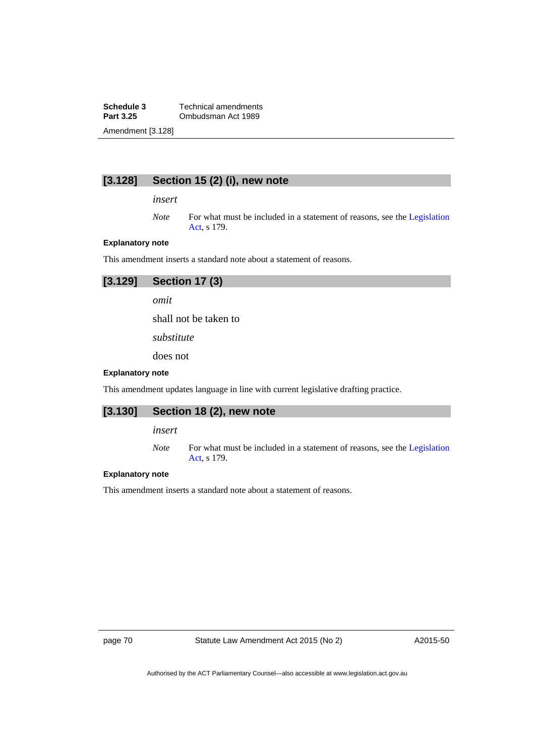**Schedule 3 Technical amendments**<br>**Part 3.25 Combudsman Act 1989 Part 3.25** Ombudsman Act 1989 Amendment [3.128]

# **[3.128] Section 15 (2) (i), new note**

*insert* 

*Note* For what must be included in a statement of reasons, see the Legislation [Act](http://www.legislation.act.gov.au/a/2001-14), s 179.

### **Explanatory note**

This amendment inserts a standard note about a statement of reasons.

| $[3.129]$ Section 17 $(3)$ |
|----------------------------|
| omit                       |

shall not be taken to

*substitute* 

does not

#### **Explanatory note**

This amendment updates language in line with current legislative drafting practice.

## **[3.130] Section 18 (2), new note**

*insert* 

*Note* For what must be included in a statement of reasons, see the Legislation [Act](http://www.legislation.act.gov.au/a/2001-14), s 179.

#### **Explanatory note**

This amendment inserts a standard note about a statement of reasons.

page 70 Statute Law Amendment Act 2015 (No 2)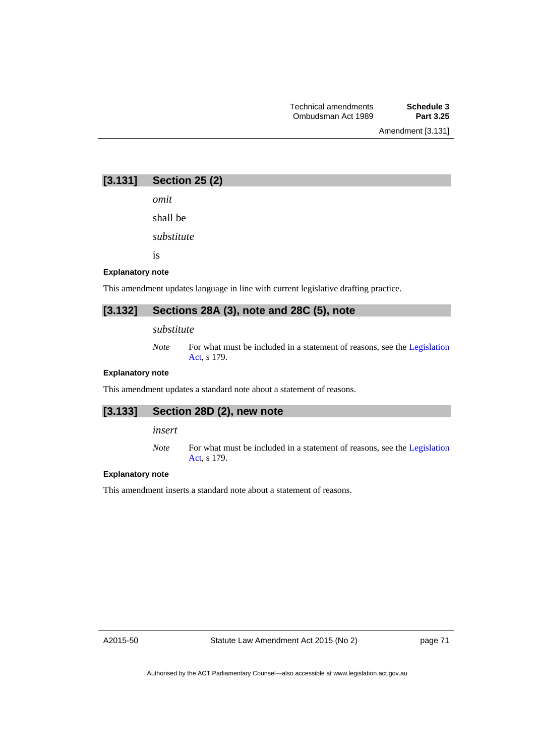**[3.131] Section 25 (2)** 

*omit* 

shall be

*substitute* 

is

#### **Explanatory note**

This amendment updates language in line with current legislative drafting practice.

# **[3.132] Sections 28A (3), note and 28C (5), note**

## *substitute*

*Note* For what must be included in a statement of reasons, see the Legislation [Act](http://www.legislation.act.gov.au/a/2001-14), s 179.

#### **Explanatory note**

This amendment updates a standard note about a statement of reasons.

# **[3.133] Section 28D (2), new note**

*insert* 

*Note* For what must be included in a statement of reasons, see the [Legislation](http://www.legislation.act.gov.au/a/2001-14)  [Act](http://www.legislation.act.gov.au/a/2001-14), s 179.

#### **Explanatory note**

This amendment inserts a standard note about a statement of reasons.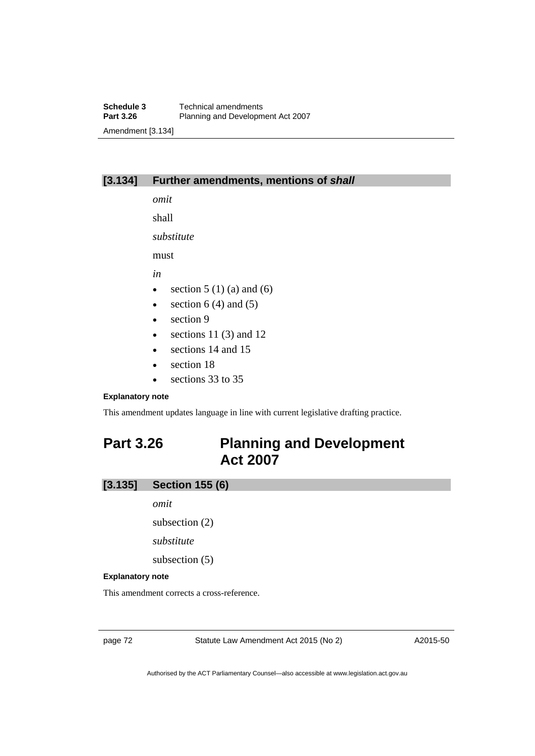## **[3.134] Further amendments, mentions of** *shall*

*omit*  shall

*substitute* 

must

*in* 

- $\bullet$  section 5 (1) (a) and (6)
- $\bullet$  section 6 (4) and (5)
- $\bullet$  section 9
- $\bullet$  sections 11 (3) and 12
- sections 14 and 15
- section 18
- e sections 33 to 35

#### **Explanatory note**

This amendment updates language in line with current legislative drafting practice.

# **Part 3.26 Planning and Development Act 2007**

## **[3.135] Section 155 (6)**

*omit* 

subsection (2)

*substitute* 

subsection (5)

#### **Explanatory note**

This amendment corrects a cross-reference.

page 72 Statute Law Amendment Act 2015 (No 2)

A2015-50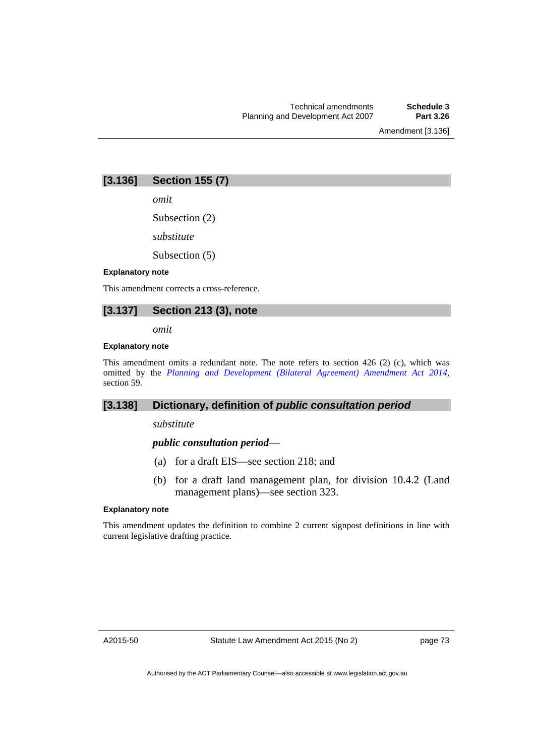Amendment [3.136]

## **[3.136] Section 155 (7)**

*omit* 

Subsection (2)

*substitute* 

Subsection (5)

#### **Explanatory note**

This amendment corrects a cross-reference.

## **[3.137] Section 213 (3), note**

*omit* 

#### **Explanatory note**

This amendment omits a redundant note. The note refers to section 426 (2) (c), which was omitted by the *[Planning and Development \(Bilateral Agreement\) Amendment Act 2014](http://www.legislation.act.gov.au/a/2014-41/default.asp)*, section 59.

### **[3.138] Dictionary, definition of** *public consultation period*

*substitute* 

#### *public consultation period*—

- (a) for a draft EIS—see section 218; and
- (b) for a draft land management plan, for division 10.4.2 (Land management plans)—see section 323.

#### **Explanatory note**

This amendment updates the definition to combine 2 current signpost definitions in line with current legislative drafting practice.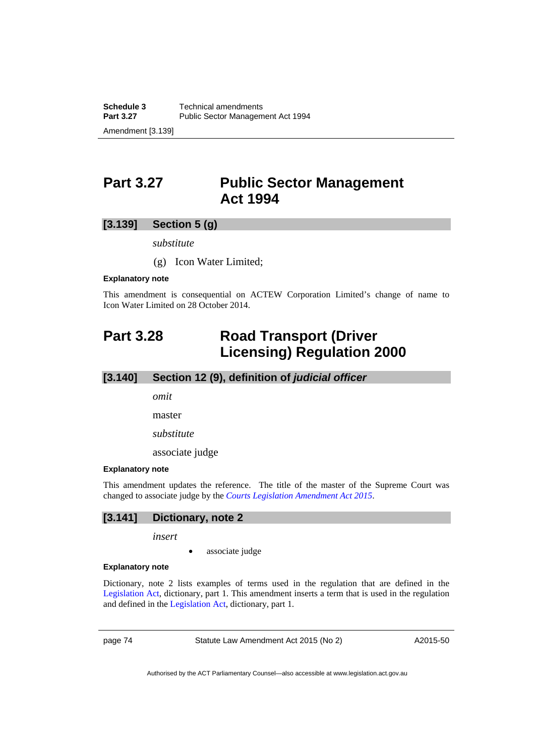# **Part 3.27 Public Sector Management Act 1994**

## **[3.139] Section 5 (g)**

*substitute* 

(g) Icon Water Limited;

#### **Explanatory note**

This amendment is consequential on ACTEW Corporation Limited's change of name to Icon Water Limited on 28 October 2014.

# **Part 3.28 Road Transport (Driver Licensing) Regulation 2000**

## **[3.140] Section 12 (9), definition of** *judicial officer*

*omit* 

master

*substitute* 

associate judge

#### **Explanatory note**

This amendment updates the reference. The title of the master of the Supreme Court was changed to associate judge by the *[Courts Legislation Amendment Act 2015](http://www.legislation.act.gov.au/a/2015-10/default.asp)*.

# **[3.141] Dictionary, note 2**

*insert* 

• associate judge

#### **Explanatory note**

Dictionary, note 2 lists examples of terms used in the regulation that are defined in the [Legislation Act](http://www.legislation.act.gov.au/a/2001-14), dictionary, part 1. This amendment inserts a term that is used in the regulation and defined in the [Legislation Act](http://www.legislation.act.gov.au/a/2001-14), dictionary, part 1.

page 74 Statute Law Amendment Act 2015 (No 2)

A2015-50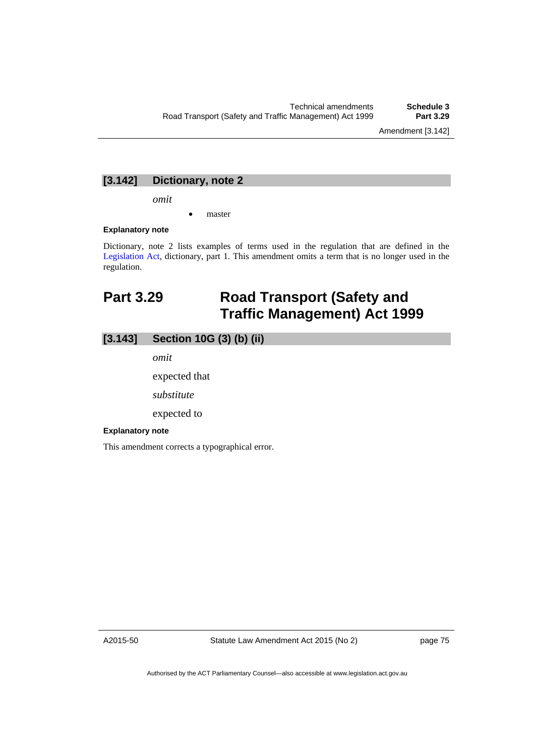## **[3.142] Dictionary, note 2**

*omit* 

master

#### **Explanatory note**

Dictionary, note 2 lists examples of terms used in the regulation that are defined in the [Legislation Act,](http://www.legislation.act.gov.au/a/2001-14) dictionary, part 1. This amendment omits a term that is no longer used in the regulation.

# **Part 3.29 Road Transport (Safety and Traffic Management) Act 1999**

## **[3.143] Section 10G (3) (b) (ii)**

*omit* 

expected that

*substitute* 

expected to

#### **Explanatory note**

This amendment corrects a typographical error.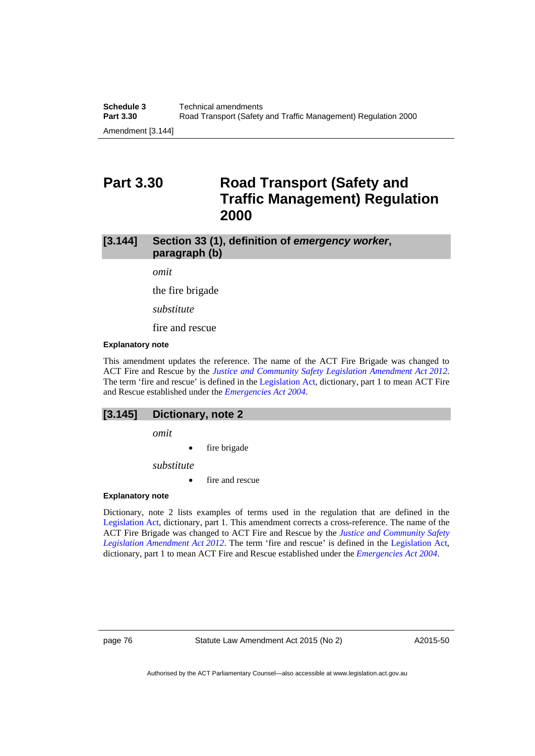# **Part 3.30 Road Transport (Safety and Traffic Management) Regulation 2000**

## **[3.144] Section 33 (1), definition of** *emergency worker***, paragraph (b)**

*omit* 

the fire brigade

*substitute* 

fire and rescue

#### **Explanatory note**

This amendment updates the reference. The name of the ACT Fire Brigade was changed to ACT Fire and Rescue by the *[Justice and Community Safety Legislation Amendment Act 2012](http://www.legislation.act.gov.au/a/2012-13/default.asp)*. The term 'fire and rescue' is defined in the [Legislation Act,](http://www.legislation.act.gov.au/a/2001-14) dictionary, part 1 to mean ACT Fire and Rescue established under the *[Emergencies Act 2004](http://www.legislation.act.gov.au/a/2004-28)*.

#### **[3.145] Dictionary, note 2**

*omit* 

fire brigade

*substitute* 

**fire and rescue** 

#### **Explanatory note**

Dictionary, note 2 lists examples of terms used in the regulation that are defined in the [Legislation Act,](http://www.legislation.act.gov.au/a/2001-14) dictionary, part 1. This amendment corrects a cross-reference. The name of the ACT Fire Brigade was changed to ACT Fire and Rescue by the *[Justice and Community Safety](http://www.legislation.act.gov.au/a/2012-13/default.asp)  [Legislation Amendment Act 2012](http://www.legislation.act.gov.au/a/2012-13/default.asp)*. The term 'fire and rescue' is defined in the [Legislation Act,](http://www.legislation.act.gov.au/a/2001-14) dictionary, part 1 to mean ACT Fire and Rescue established under the *[Emergencies Act 2004](http://www.legislation.act.gov.au/a/2004-28)*.

page 76 Statute Law Amendment Act 2015 (No 2)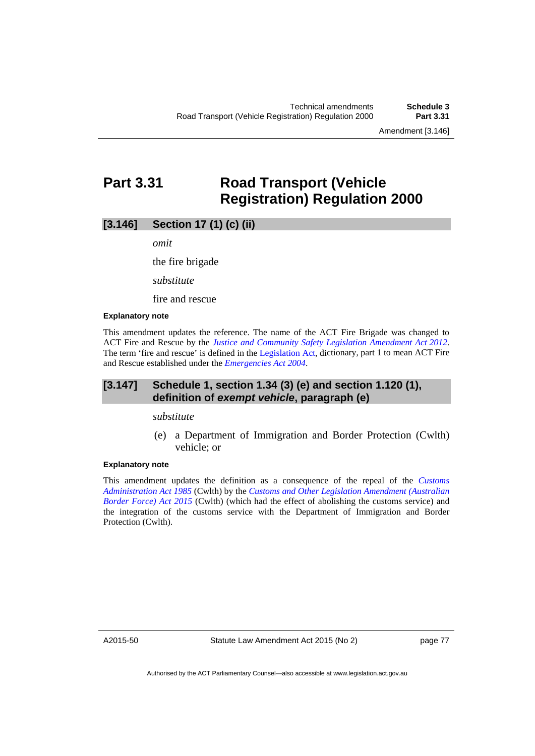Amendment [3.146]

# **Part 3.31 Road Transport (Vehicle Registration) Regulation 2000**

## **[3.146] Section 17 (1) (c) (ii)**

*omit* 

the fire brigade

*substitute* 

fire and rescue

#### **Explanatory note**

This amendment updates the reference. The name of the ACT Fire Brigade was changed to ACT Fire and Rescue by the *[Justice and Community Safety Legislation Amendment Act 2012](http://www.legislation.act.gov.au/a/2012-13/default.asp)*. The term 'fire and rescue' is defined in the [Legislation Act,](http://www.legislation.act.gov.au/a/2001-14) dictionary, part 1 to mean ACT Fire and Rescue established under the *[Emergencies Act 2004](http://www.legislation.act.gov.au/a/2004-28)*.

## **[3.147] Schedule 1, section 1.34 (3) (e) and section 1.120 (1), definition of** *exempt vehicle***, paragraph (e)**

*substitute* 

 (e) a Department of Immigration and Border Protection (Cwlth) vehicle; or

#### **Explanatory note**

This amendment updates the definition as a consequence of the repeal of the *[Customs](https://www.comlaw.gov.au/Details/C2004A03077)  [Administration Act 1985](https://www.comlaw.gov.au/Details/C2004A03077)* (Cwlth) by the *[Customs and Other Legislation Amendment \(Australian](https://www.comlaw.gov.au/Details/C2015A00041)  [Border Force\) Act 2015](https://www.comlaw.gov.au/Details/C2015A00041)* (Cwlth) (which had the effect of abolishing the customs service) and the integration of the customs service with the Department of Immigration and Border Protection (Cwlth).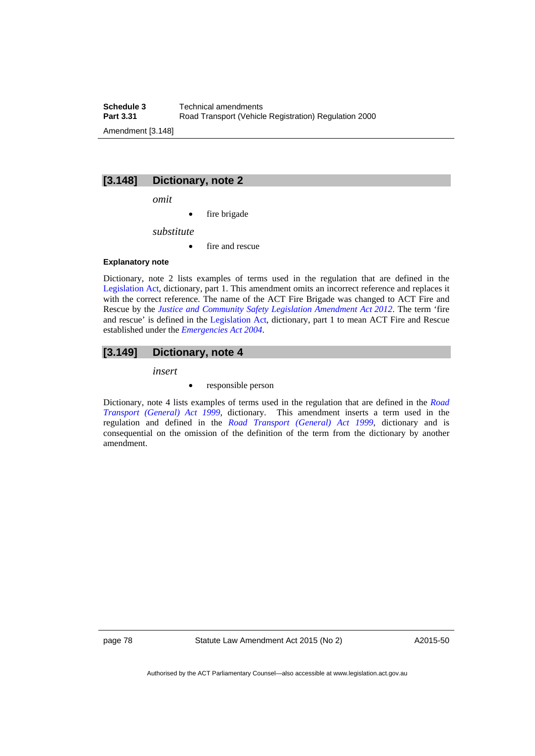**Schedule 3 Technical amendments**<br>**Part 3.31 Road Transport (Vehicle Road Transport (Vehicle Registration) Regulation 2000** Amendment [3.148]

## **[3.148] Dictionary, note 2**

*omit* 

fire brigade

*substitute* 

• fire and rescue

#### **Explanatory note**

Dictionary, note 2 lists examples of terms used in the regulation that are defined in the [Legislation Act,](http://www.legislation.act.gov.au/a/2001-14) dictionary, part 1. This amendment omits an incorrect reference and replaces it with the correct reference. The name of the ACT Fire Brigade was changed to ACT Fire and Rescue by the *[Justice and Community Safety Legislation Amendment Act 2012](http://www.legislation.act.gov.au/a/2012-13/default.asp)*. The term 'fire and rescue' is defined in the [Legislation Act,](http://www.legislation.act.gov.au/a/2001-14) dictionary, part 1 to mean ACT Fire and Rescue established under the *[Emergencies Act 2004](http://www.legislation.act.gov.au/a/2004-28)*.

#### **[3.149] Dictionary, note 4**

*insert* 

responsible person

Dictionary, note 4 lists examples of terms used in the regulation that are defined in the *[Road](http://www.legislation.act.gov.au/a/1999-77)  [Transport \(General\) Act 1999](http://www.legislation.act.gov.au/a/1999-77)*, dictionary. This amendment inserts a term used in the regulation and defined in the *[Road Transport \(General\) Act 1999](http://www.legislation.act.gov.au/a/1999-77)*, dictionary and is consequential on the omission of the definition of the term from the dictionary by another amendment.

page 78 Statute Law Amendment Act 2015 (No 2)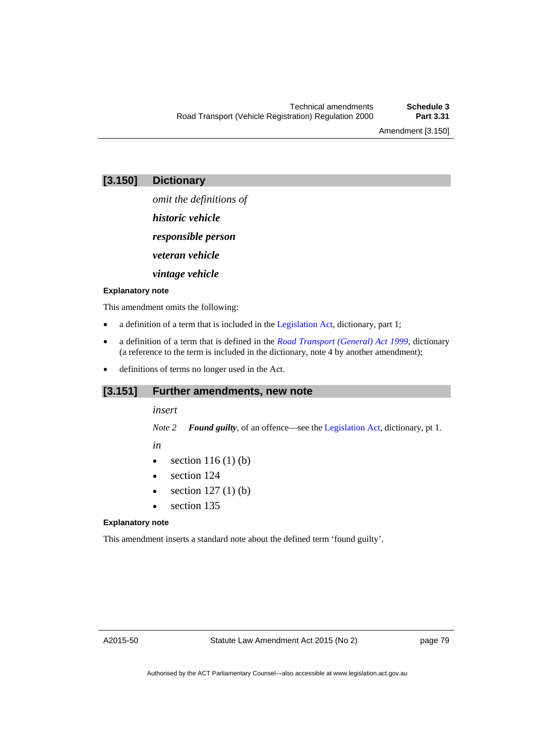Amendment [3.150]

*omit the definitions of* 

*historic vehicle* 

*responsible person* 

*veteran vehicle* 

*vintage vehicle* 

#### **Explanatory note**

This amendment omits the following:

- a definition of a term that is included in the [Legislation Act](http://www.legislation.act.gov.au/a/2001-14), dictionary, part 1;
- a definition of a term that is defined in the *[Road Transport \(General\) Act 1999](http://www.legislation.act.gov.au/a/1999-77)*, dictionary (a reference to the term is included in the dictionary, note 4 by another amendment);
- definitions of terms no longer used in the Act.

## **[3.151] Further amendments, new note**

*insert* 

*Note 2 Found guilty*, of an offence—see the [Legislation Act](http://www.legislation.act.gov.au/a/2001-14), dictionary, pt 1.

*in* 

- $\bullet$  section 116 (1) (b)
- section 124
- $\bullet$  section 127(1)(b)
- section 135

#### **Explanatory note**

This amendment inserts a standard note about the defined term 'found guilty'.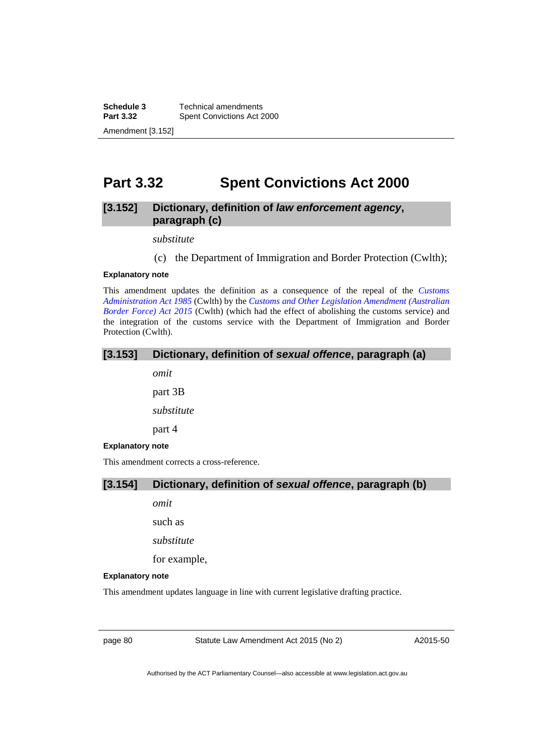**Schedule 3 Technical amendments**<br>**Part 3.32 Spent Convictions Act 2 Spent Convictions Act 2000** Amendment [3.152]

# **Part 3.32 Spent Convictions Act 2000**

## **[3.152] Dictionary, definition of** *law enforcement agency***, paragraph (c)**

*substitute* 

(c) the Department of Immigration and Border Protection (Cwlth);

#### **Explanatory note**

This amendment updates the definition as a consequence of the repeal of the *[Customs](https://www.comlaw.gov.au/Details/C2004A03077)  [Administration Act 1985](https://www.comlaw.gov.au/Details/C2004A03077)* (Cwlth) by the *[Customs and Other Legislation Amendment \(Australian](https://www.comlaw.gov.au/Details/C2015A00041)  [Border Force\) Act 2015](https://www.comlaw.gov.au/Details/C2015A00041)* (Cwlth) (which had the effect of abolishing the customs service) and the integration of the customs service with the Department of Immigration and Border Protection (Cwlth).

## **[3.153] Dictionary, definition of** *sexual offence***, paragraph (a)**

*omit* 

part 3B

*substitute* 

part 4

#### **Explanatory note**

This amendment corrects a cross-reference.

### **[3.154] Dictionary, definition of** *sexual offence***, paragraph (b)**

*omit* 

such as

*substitute* 

for example,

#### **Explanatory note**

This amendment updates language in line with current legislative drafting practice.

page 80 Statute Law Amendment Act 2015 (No 2)

A2015-50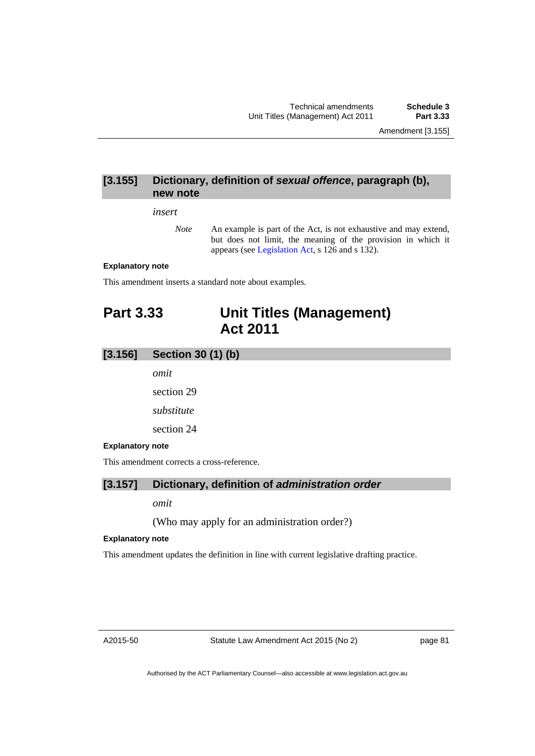## **[3.155] Dictionary, definition of** *sexual offence***, paragraph (b), new note**

#### *insert*

*Note* An example is part of the Act, is not exhaustive and may extend, but does not limit, the meaning of the provision in which it appears (see [Legislation Act,](http://www.legislation.act.gov.au/a/2001-14) s 126 and s 132).

### **Explanatory note**

This amendment inserts a standard note about examples.

# **Part 3.33 Unit Titles (Management) Act 2011**

### **[3.156] Section 30 (1) (b)**

*omit* 

section 29

*substitute* 

section 24

#### **Explanatory note**

This amendment corrects a cross-reference.

### **[3.157] Dictionary, definition of** *administration order*

*omit* 

(Who may apply for an administration order?)

#### **Explanatory note**

This amendment updates the definition in line with current legislative drafting practice.

Statute Law Amendment Act 2015 (No 2)

page 81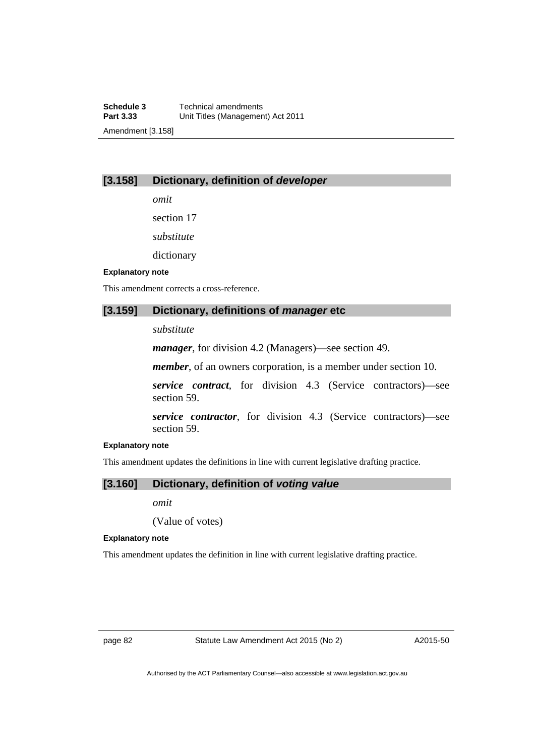## **[3.158] Dictionary, definition of** *developer*

*omit* 

section 17

*substitute* 

dictionary

#### **Explanatory note**

This amendment corrects a cross-reference.

### **[3.159] Dictionary, definitions of** *manager* **etc**

*substitute* 

*manager*, for division 4.2 (Managers)—see section 49.

*member*, of an owners corporation, is a member under section 10.

*service contract*, for division 4.3 (Service contractors)—see section 59.

*service contractor*, for division 4.3 (Service contractors)—see section 59.

#### **Explanatory note**

This amendment updates the definitions in line with current legislative drafting practice.

### **[3.160] Dictionary, definition of** *voting value*

*omit* 

(Value of votes)

#### **Explanatory note**

This amendment updates the definition in line with current legislative drafting practice.

page 82 Statute Law Amendment Act 2015 (No 2)

A2015-50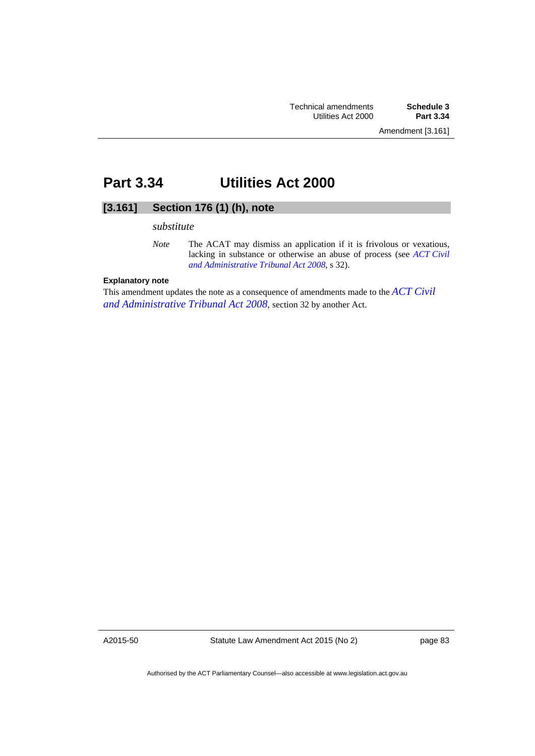# **Part 3.34 Utilities Act 2000**

# **[3.161] Section 176 (1) (h), note**

#### *substitute*

### **Explanatory note**

This amendment updates the note as a consequence of amendments made to the *[ACT Civil](http://www.legislation.act.gov.au/a/2008-35)  [and Administrative Tribunal Act 2008](http://www.legislation.act.gov.au/a/2008-35)*, section 32 by another Act.

A2015-50

Statute Law Amendment Act 2015 (No 2)

page 83

*Note* The ACAT may dismiss an application if it is frivolous or vexatious, lacking in substance or otherwise an abuse of process (see *[ACT Civil](http://www.legislation.act.gov.au/a/2008-35)  [and Administrative Tribunal Act 2008](http://www.legislation.act.gov.au/a/2008-35)*, s 32).